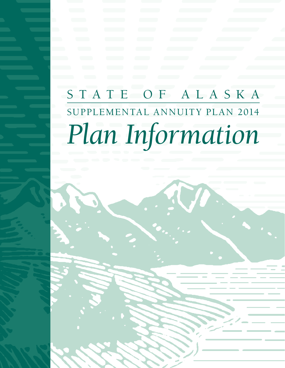STATE OF ALASKA SUPPLEMENTAL ANNUITY PLAN 2014 *Plan Information*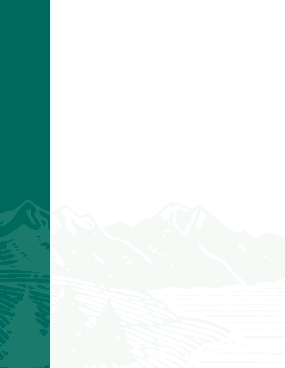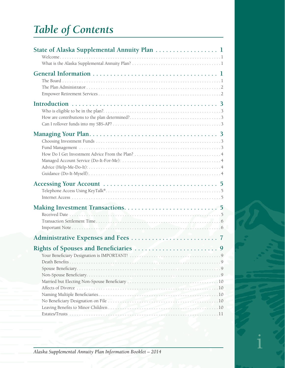# *Table of Contents*

| State of Alaska Supplemental Annuity Plan 1 |
|---------------------------------------------|
|                                             |
|                                             |
|                                             |
|                                             |
|                                             |
|                                             |
|                                             |
|                                             |
|                                             |
|                                             |
|                                             |

i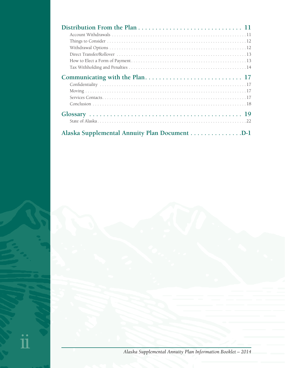| Alaska Supplemental Annuity Plan Document D-1 |  |  |  |  |  |
|-----------------------------------------------|--|--|--|--|--|

ii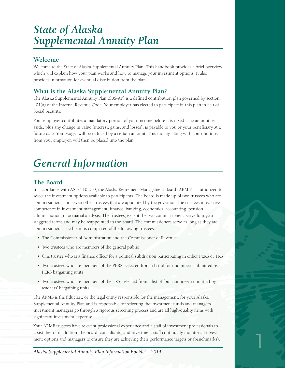# *State of Alaska Supplemental Annuity Plan*

# **Welcome**

Welcome to the State of Alaska Supplemental Annuity Plan! This handbook provides a brief overview which will explain how your plan works and how to manage your investment options. It also provides information for eventual distribution from the plan.

# **What is the Alaska Supplemental Annuity Plan?**

The Alaska Supplemental Annuity Plan (SBS-AP) is a defined contribution plan governed by section 401(a) of the Internal Revenue Code. Your employer has elected to participate in this plan in lieu of Social Security.

Your employer contributes a mandatory portion of your income before it is taxed. The amount set aside, plus any change in value (interest, gains, and losses), is payable to you or your beneficiary at a future date. Your wages will be reduced by a certain amount. This money, along with contributions from your employer, will then be placed into the plan.

# *General Information*

# **The Board**

In accordance with AS 37.10.210, the Alaska Retirement Management Board (ARMB) is authorized to select the investment options available to participants. The board is made up of two trustees who are commissioners, and seven other trustees that are appointed by the governor. The trustees must have competence in investment management, finance, banking, economics, accounting, pension administration, or actuarial analysis. The trustees, except the two commissioners, serve four year staggered terms and may be reappointed to the board. The commissioners serve as long as they are commissioners. The board is comprised of the following trustees:

- The Commissioner of Administration and the Commissioner of Revenue
- Two trustees who are members of the general public
- One trustee who is a finance officer for a political subdivision participating in either PERS or TRS
- Two trustees who are members of the PERS, selected from a list of four nominees submitted by PERS bargaining units
- Two trustees who are members of the TRS, selected from a list of four nominees submitted by teachers' bargaining units

The ARMB is the fiduciary, or the legal entity responsible for the management, for your Alaska Supplemental Annuity Plan and is responsible for selecting the investment funds and managers. Investment managers go through a rigorous screening process and are all high-quality firms with significant investment expertise.

Your ARMB trustees have relevant professional experience and a staff of investment professionals to assist them. In addition, the board, consultants, and investment staff continually monitor all investment options and managers to ensure they are achieving their performance targets or (benchmarks).

1

*Alaska Supplemental Annuity Plan Information Booklet – 2014*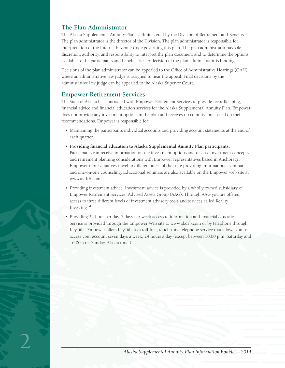# **The Plan Administrator**

The Alaska Supplemental Annuity Plan is administered by the Division of Retirement and Benefits. The plan administrator is the director of the Division. The plan administrator is responsible for interpretation of the Internal Revenue Code governing this plan. The plan administrator has sole discretion, authority, and responsibility to interpret the plan document and to determine the options available to the participants and beneficiaries. A decision of the plan administrator is binding.

Decisions of the plan administrator can be appealed to the Office of Administrative Hearings (OAH) where an administrative law judge is assigned to hear the appeal. Final decisions by the administrative law judge can be appealed to the Alaska Superior Court.

## **Empower Retirement Services**

2

The State of Alaska has contracted with Empower Retirement Services to provide recordkeeping, financial advice and financial education services for the Alaska Supplemental Annuity Plan. Empower does not provide any investment options in the plan and receives no commissions based on their recommendations. Empower is responsible for:

- Maintaining the participant's individual accounts and providing account statements at the end of each quarter.
- **Providing financial education to Alaska Supplemental Annuity Plan participants.** Participants can receive information on the investment options and discuss investment concepts and retirement planning considerations with Empower representatives based in Anchorage. Empower representatives travel to different areas of the state providing informational seminars and one-on-one counseling. Educational seminars are also available on the Empower web site at www.akdrb.com.
- Providing investment advice. Investment advice is provided by a wholly owned subsidiary of Empower Retirement Services, Advised Assets Group (AAG). Through AAG you are offered access to three different levels of investment advisory tools and services called Reality InvestingSM.
- Providing 24 hour per day, 7 days per week access to information and financial education. Service is provided through the Empower Web site at www.akdrb.com or by telephone through KeyTalk. Empower offers KeyTalk as a toll-free, touch-tone telephone service that allows you to access your account seven days a week, 24 hours a day (except between 10:00 p.m. Saturday and 10:00 a.m. Sunday, Alaska time.)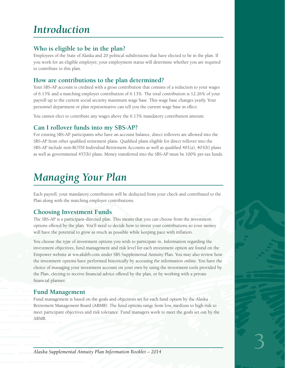# *Introduction*

# **Who is eligible to be in the plan?**

Employees of the State of Alaska and 20 political subdivisions that have elected to be in the plan. If you work for an eligible employer, your employment status will determine whether you are required to contribute to this plan.

# **How are contributions to the plan determined?**

Your SBS-AP account is credited with a gross contribution that consists of a reduction to your wages of 6.13% and a matching employer contribution of 6.13%. The total contribution is 12.26% of your payroll up to the current social security maximum wage base. This wage base changes yearly. Your personnel department or plan representative can tell you the current wage base in effect.

You cannot elect to contribute any wages above the 6.13% mandatory contribution amount.

# **Can I rollover funds into my SBS-AP?**

For existing SBS-AP participants who have an account balance, direct rollovers are allowed into the SBS-AP from other qualified retirement plans. Qualified plans eligible for direct rollover into the SBS-AP include non-ROTH Individual Retirement Accounts as well as qualified 401(a), 403(b) plans as well as governmental 457(b) plans. Money transferred into the SBS-AP must be 100% pre-tax funds.

# *Managing Your Plan*

Each payroll, your mandatory contribution will be deducted from your check and contributed to the Plan along with the matching employer contributions.

## **Choosing Investment Funds**

The SBS-AP is a participant-directed plan. This means that you can choose from the investment options offered by the plan. You'll need to decide how to invest your contributions so your money will have the potential to grow as much as possible while keeping pace with inflation.

You choose the type of investment options you wish to participate in. Information regarding the investment objectives, fund management and risk level for each investment option are found on the Empower website at ww.akdrb.com under SBS Supplemental Annuity Plan. You may also review how the investment options have performed historically by accessing the information online. You have the choice of managing your investment account on your own by using the investment tools provided by the Plan, electing to receive financial advice offered by the plan, or by working with a private financial planner.

### **Fund Management**

Fund management is based on the goals and objectives set for each fund option by the Alaska Retirement Management Board (ARMB). The fund options range from low, medium to high risk to meet participant objectives and risk tolerance. Fund managers work to meet the goals set out by the ARMB.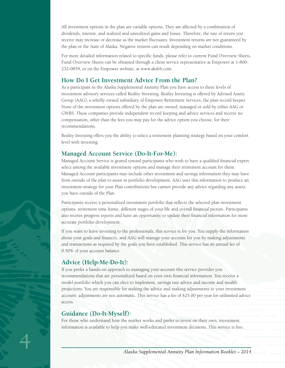All investment options in the plan are variable options. They are affected by a combination of dividends, interest, and realized and unrealized gains and losses. Therefore, the rate of return you receive may increase or decrease as the market fluctuates. Investment returns are not guaranteed by the plan or the State of Alaska. Negative returns can result depending on market conditions.

For more detailed information related to specific funds, please refer to current Fund Overview Sheets. Fund Overview Sheets can be obtained through a client service representative at Empower at 1-800- 232-0859, or on the Empower website, at www.akdrb.com.

### **How Do I Get Investment Advice From the Plan?**

As a participant in the Alaska Supplemental Annuity Plan you have access to three levels of investment advisory services called Reality Investing. Reality Investing is offered by Advised Assets Group (AAG), a wholly owned subsidiary of Empower Retirement Services, the plan record keeper. None of the investment options offered by the plan are owned, managed or sold by either AAG or GWRS. These companies provide independent record keeping and advice services and receive no compensation, other than the fees you may pay for the advice option you choose, for their recommendations.

Reality Investing offers you the ability to select a retirement planning strategy based on your comfort level with investing.

### **Managed Account Service (Do-It-For-Me):**

Managed Account Service is geared toward participants who wish to have a qualified financial expert select among the available investment options and manage their retirement account for them. Managed Account participants may include other investment and savings information they may have from outside of the plan to assist in portfolio development. AAG uses this information to produce an investment strategy for your Plan contributions but cannot provide any advice regarding any assets you have outside of the Plan.

Participants receive a personalized investment portfolio that reflects the selected plan investment options, retirement time frame, different stages of your life and overall financial picture. Participants also receive progress reports and have an opportunity to update their financial information for more accurate portfolio development.

If you want to leave investing to the professionals, this service is for you. You supply the information about your goals and finances, and AAG will manage your account for you by making adjustments and transactions as required by the goals you have established. This service has an annual fee of 0.50% of your account balance.

### **Advice (Help-Me-Do-It):**

If you prefer a hands-on approach to managing your account this service provides you recommendations that are personalized based on your own financial information. You receive a model portfolio which you can elect to implement, savings rate advice and income and wealth projections. You are responsible for seeking the advice and making adjustments to your investment account; adjustments are not automatic. This service has a fee of \$25.00 per year for unlimited advice access.

### **Guidance (Do-It-Myself):**

4

For those who understand how the market works and prefer to invest on their own, investment information is available to help you make well-educated investment decisions. This service is free.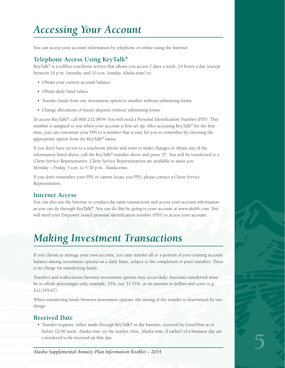# *Accessing Your Account*

You can access your account information by telephone or online using the Internet.

# **Telephone Access Using KeyTalk®**

KeyTalk® is a tollfree touchtone service that allows you access 7 days a week, 24 hours a day (except between 10 p.m. Saturday and 10 a.m. Sunday, Alaska time) to:

- Obtain your current account balance
- Obtain daily fund values
- Transfer funds from one investment option to another without submitting forms.
- Change allocations of future deposits without submitting forms.

To access KeyTalk®, call 800.232.0859. You will need a Personal Identification Number (PIN). This number is assigned to you when your account is first set up. After accessing KeyTalk® for the first time, you can customize your PIN to a number that is easy for you to remember by choosing the appropriate option from the KeyTalk® menu.

If you don't have access to a touchtone phone and want to make changes or obtain any of the information listed above, call the KeyTalk® number above and press "0". You will be transferred to a Client Service Representative. Client Service Representatives are available to assist you Monday – Friday, 5 a.m. to 5:30 p.m., Alaska time.

If you don't remember your PIN or cannot locate you PIN, please contact a Client Service Representative.

#### **Internet Access**

You can also use the Internet to conduct the same transactions and access your account information as you can do through KeyTalk®. You can do this by going to your account at www.akdrb.com. You will need your Empower issued personal identification number (PIN) to access your account

# *Making Investment Transactions*

If you choose to manage your own account, you may transfer all or a portion of your existing account balance among investment options on a daily basis, subject to the completion of prior transfers. There is no charge for transferring funds.

Transfers and reallocations between investment options may occur daily. Amounts transferred must be in whole percentages only, example; 33%, not 33.33%, or an amount in dollars and cents (e.g. \$12,345.67).

When transferring funds between investment options, the timing of the transfer is determined by two things:

### **Received Date**

• Transfer requests, either made through KeyTalk® or the Internet, received by GreatWest at or before 12:00 noon, Alaska time (or the market close, Alaska time, if earlier) of a business day are considered to be received on that day.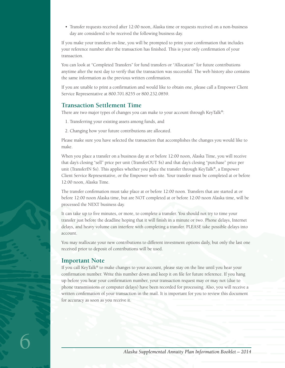• Transfer requests received after 12:00 noon, Alaska time or requests received on a non-business day are considered to be received the following business day.

If you make your transfers on-line, you will be prompted to print your confirmation that includes your reference number after the transaction has finished. This is your only confirmation of your transaction.

You can look at "Completed Transfers" for fund transfers or "Allocation" for future contributions anytime after the next day to verify that the transaction was successful. The web history also contains the same information as the previous written confirmation.

If you are unable to print a confirmation and would like to obtain one, please call a Empower Client Service Representative at 800.701.8255 or 800.232.0859.

#### **Transaction Settlement Time**

There are two major types of changes you can make to your account through KeyTalk®:

- 1. Transferring your existing assets among funds, and
- 2. Changing how your future contributions are allocated.

Please make sure you have selected the transaction that accomplishes the changes you would like to make.

When you place a transfer on a business day at or before 12:00 noon, Alaska Time, you will receive that day's closing "sell" price per unit (TransferOUT \$s) and that day's closing "purchase" price per unit (TransferIN \$s). This applies whether you place the transfer through KeyTalk®, a Empower Client Service Representative, or the Empower web site. Your transfer must be completed at or before 12:00 noon, Alaska Time.

The transfer confirmation must take place at or before 12:00 noon. Transfers that are started at or before 12:00 noon Alaska time, but are NOT completed at or before 12:00 noon Alaska time, will be processed the NEXT business day.

It can take up to five minutes, or more, to complete a transfer. You should not try to time your transfer just before the deadline hoping that it will finish in a minute or two. Phone delays, Internet delays, and heavy volume can interfere with completing a transfer. PLEASE take possible delays into account.

You may reallocate your new contributions to different investment options daily, but only the last one received prior to deposit of contributions will be used.

#### **Important Note**

6

If you call KeyTalk® to make changes to your account, please stay on the line until you hear your confirmation number. Write this number down and keep it on file for future reference. If you hang up before you hear your confirmation number, your transaction request may or may not (due to phone transmissions or computer delays) have been recorded for processing. Also, you will receive a written confirmation of your transaction in the mail. It is important for you to review this document for accuracy as soon as you receive it.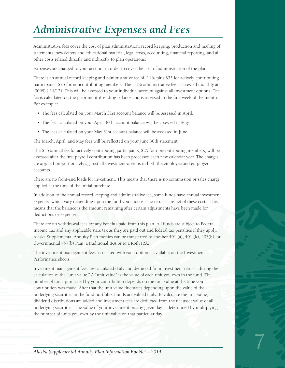# *Administrative Expenses and Fees*

Administrative fees cover the cost of plan administration, record keeping, production and mailing of statements, newsletters and educational material, legal costs, accounting, financial reporting, and all other costs related directly and indirectly to plan operations.

Expenses are charged to your account in order to cover the cost of administration of the plan.

There is an annual record keeping and administrative fee of .11% plus \$35 for actively contributing participants; \$25 for noncontributing members. The .11% administrative fee is assessed monthly at .009% (.11/12). This will be assessed to your individual account against all investment options. The fee is calculated on the prior month's ending balance and is assessed in the first week of the month. For example:

- The fees calculated on your March 31st account balance will be assessed in April.
- The fees calculated on your April 30th account balance will be assessed in May.
- The fees calculated on your May 31st account balance will be assessed in June.

The March, April, and May fees will be reflected on your June 30th statement.

The \$35 annual fee for actively contributing participants; \$25 for noncontributing members, will be assessed after the first payroll contribution has been processed each new calendar year. The charges are applied proportionately against all investment options in both the employee and employer accounts.

There are no front-end loads for investment. This means that there is no commission or sales charge applied at the time of the initial purchase.

In addition to the annual record keeping and administrative fee, some funds have annual investment expenses which vary depending upon the fund you choose. The returns are net of these costs. This means that the balance is the amount remaining after certain adjustments have been made for deductions or expenses.

There are no withdrawal fees for any benefits paid from this plan. All funds are subject to Federal Income Tax and any applicable state tax as they are paid out and federal tax penalties if they apply. Alaska Supplemental Annuity Plan monies can be transferred to another 401 (a), 401 (k), 403(b), or Governmental 457(b) Plan, a traditional IRA or to a Roth IRA.

The investment management fees associated with each option is available on the Investment Performance sheets.

Investment management fees are calculated daily and deducted from investment returns during the calculation of the "unit value." A "unit value" is the value of each unit you own in the fund. The number of units purchased by your contribution depends on the unit value at the time your contribution was made. After that the unit value fluctuates depending upon the value of the underlying securities in the fund portfolio. Funds are valued daily. To calculate the unit value, dividend distributions are added and investment fees are deducted from the net asset value of all underlying securities. The value of your investment on any given day is determined by multiplying the number of units you own by the unit value on that particular day.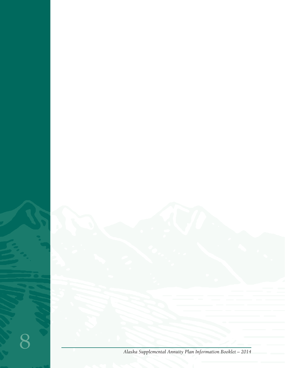*Alaska Supplemental Annuity Plan Information Booklet – 2014*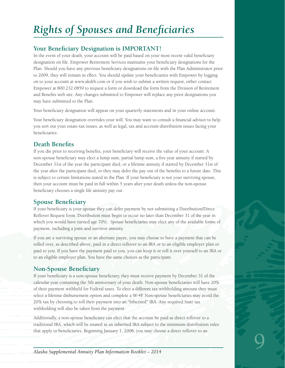# *Rights of Spouses and Beneficiaries*

# **Your Beneficiary Designation is IMPORTANT!**

In the event of your death, your account will be paid based on your most recent valid beneficiary designation on file. Empower Retirement Services maintains your beneficiary designations for the Plan. Should you have any previous beneficiary designations on file with the Plan Administrator prior to 2009, they will remain in effect. You should update your beneficiaries with Empower by logging on to your account at www.akdrb.com or if you wish to submit a written request, either contact Empower at 800.232.0859 to request a form or download the form from the Division of Retirement and Benefits web site. Any changes submitted to Empower will replace any prior designations you may have submitted to the Plan.

Your beneficiary designation will appear on your quarterly statements and in your online account.

Your beneficiary designation overrides your will. You may want to consult a financial advisor to help you sort out your estate-tax issues, as well as legal, tax and account-distribution issues facing your beneficiaries.

# **Death Benefits**

If you die prior to receiving benefits, your beneficiary will receive the value of your account. A non-spouse beneficiary may elect a lump sum, partial lump sum, a five year annuity if started by December 31st of the year the participant died, or a lifetime annuity if started by December 31st of the year after the participant died, or they may defer the pay out of the benefits to a future date. This is subject to certain limitations stated in the Plan. If your beneficiary is not your surviving spouse, then your account must be paid in full within 5 years after your death unless the non-spouse beneficiary chooses a single life annuity pay out.

## **Spouse Beneficiary**

If your beneficiary is your spouse they can defer payment by not submitting a Distribution/Direct Rollover Request form. Distribution must begin to occur no later than December 31 of the year in which you would have turned age 70½ . Spouse beneficiaries may elect any of the available forms of payment, including a joint and survivor annuity.

If you are a surviving spouse or an alternate payee, you may choose to have a payment that can be rolled over, as described above, paid in a direct rollover to an IRA or to an eligible employer plan or paid to you. If you have the payment paid to you, you can keep it or roll it over yourself to an IRA or to an eligible employer plan. You have the same choices as the participant.

# **Non-Spouse Beneficiary**

If your beneficiary is a non-spouse beneficiary, they must receive payment by December 31 of the calendar year containing the 5th anniversary of your death. Non-spouse beneficiaries will have 20% of their payment withheld for Federal taxes. To elect a different tax withholding amount they must select a lifetime disbursement option and complete a W-4P. Non-spouse beneficiaries may avoid the 20% tax by choosing to roll their payment into an "Inherited" IRA. Any required State tax withholding will also be taken from the payment.

Additionally, a non-spouse beneficiary can elect that the account be paid as direct rollover to a traditional IRA, which will be treated as an inherited IRA subject to the minimum distribution rules that apply to beneficiaries. Beginning January 1, 2008, you may choose a direct rollover to an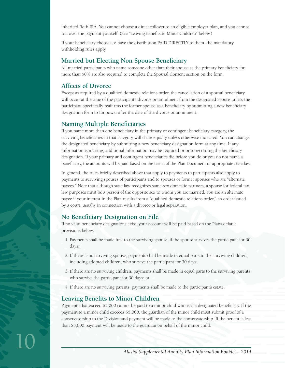inherited Roth IRA. You cannot choose a direct rollover to an eligible employer plan, and you cannot roll over the payment yourself. (See "Leaving Benefits to Minor Children" below.)

If your beneficiary chooses to have the distribution PAID DIRECTLY to them, the mandatory withholding rules apply.

### **Married but Electing Non-Spouse Beneficiary**

All married participants who name someone other than their spouse as the primary beneficiary for more than 50% are also required to complete the Spousal Consent section on the form.

#### **Affects of Divorce**

Except as required by a qualified domestic relations order, the cancellation of a spousal beneficiary will occur at the time of the participant's divorce or annulment from the designated spouse unless the participant specifically reaffirms the former spouse as a beneficiary by submitting a new beneficiary designation form to Empower after the date of the divorce or annulment.

#### **Naming Multiple Beneficiaries**

If you name more than one beneficiary in the primary or contingent beneficiary category, the surviving beneficiaries in that category will share equally unless otherwise indicated. You can change the designated beneficiary by submitting a new beneficiary designation form at any time. If any information is missing, additional information may be required prior to recording the beneficiary designation. If your primary and contingent beneficiaries die before you do or you do not name a beneficiary, the amounts will be paid based on the terms of the Plan Document or appropriate state law.

In general, the rules briefly described above that apply to payments to participants also apply to payments to surviving spouses of participants and to spouses or former spouses who are "alternate payees." Note that although state law recognizes same-sex domestic partners, a spouse for federal tax law purposes must be a person of the opposite sex to whom you are married. You are an alternate payee if your interest in the Plan results from a "qualified domestic relations order," an order issued by a court, usually in connection with a divorce or legal separation.

#### **No Beneficiary Designation on File**

If no valid beneficiary designations exist, your account will be paid based on the Plans default provisions below:

- 1. Payments shall be made first to the surviving spouse, if the spouse survives the participant for 30 days;
- 2. If there is no surviving spouse, payments shall be made in equal parts to the surviving children, including adopted children, who survive the participant for 30 days;
- 3. If there are no surviving children, payments shall be made in equal parts to the surviving parents who survive the participant for 30 days; or
- 4. If there are no surviving parents, payments shall be made to the participant's estate.

### **Leaving Benefits to Minor Children**

10

Payments that exceed \$5,000 cannot be paid to a minor child who is the designated beneficiary. If the payment to a minor child exceeds \$5,000, the guardian of the minor child must submit proof of a conservatorship to the Division and payment will be made to the conservatorship. If the benefit is less than \$5,000 payment will be made to the guardian on behalf of the minor child.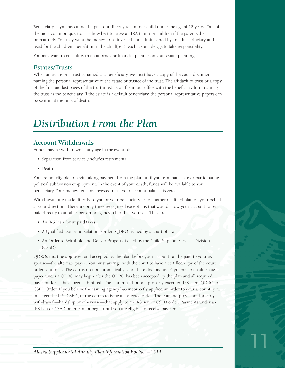Beneficiary payments cannot be paid out directly to a minor child under the age of 18 years. One of the most common questions is how best to leave an IRA to minor children if the parents die prematurely. You may want the money to be invested and administered by an adult fiduciary and used for the children's benefit until the child(ren) reach a suitable age to take responsibility.

You may want to consult with an attorney or financial planner on your estate planning.

### **Estates/Trusts**

When an estate or a trust is named as a beneficiary, we must have a copy of the court document naming the personal representative of the estate or trustee of the trust. The affidavit of trust or a copy of the first and last pages of the trust must be on file in our office with the beneficiary form naming the trust as the beneficiary. If the estate is a default beneficiary, the personal representative papers can be sent in at the time of death.

# *Distribution From the Plan*

## **Account Withdrawals**

Funds may be withdrawn at any age in the event of:

- Separation from service (includes retirement)
- Death

You are not eligible to begin taking payment from the plan until you terminate state or participating political subdivision employment. In the event of your death, funds will be available to your beneficiary. Your money remains invested until your account balance is zero.

Withdrawals are made directly to you or your beneficiary or to another qualified plan on your behalf at your direction. There are only three recognized exceptions that would allow your account to be paid directly to another person or agency other than yourself. They are:

- An IRS Lien for unpaid taxes
- A Qualified Domestic Relations Order (QDRO) issued by a court of law
- An Order to Withhold and Deliver Property issued by the Child Support Services Division (CSSD)

QDROs must be approved and accepted by the plan before your account can be paid to your ex spouse—the alternate payee. You must arrange with the court to have a certified copy of the court order sent to us. The courts do not automatically send these documents. Payments to an alternate payee under a QDRO may begin after the QDRO has been accepted by the plan and all required payment forms have been submitted. The plan must honor a properly executed IRS Lien, QDRO, or CSED Order. If you believe the issuing agency has incorrectly applied an order to your account, you must get the IRS, CSED, or the courts to issue a corrected order. There are no provisions for early withdrawal—hardship or otherwise—that apply to an IRS lien or CSED order. Payments under an IRS lien or CSED order cannot begin until you are eligible to receive payment.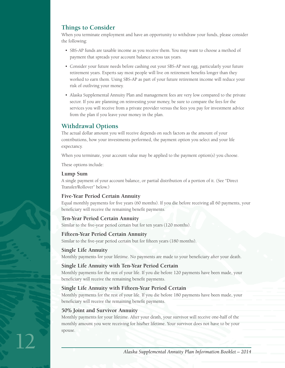# **Things to Consider**

When you terminate employment and have an opportunity to withdraw your funds, please consider the following:

- SBS-AP funds are taxable income as you receive them. You may want to choose a method of payment that spreads your account balance across tax years.
- Consider your future needs before cashing out your SBS-AP nest egg, particularly your future retirement years. Experts say most people will live on retirement benefits longer than they worked to earn them. Using SBS-AP as part of your future retirement income will reduce your risk of outliving your money.
- Alaska Supplemental Annuity Plan and management fees are very low compared to the private sector. If you are planning on reinvesting your money, be sure to compare the fees for the services you will receive from a private provider versus the fees you pay for investment advice from the plan if you leave your money in the plan.

# **Withdrawal Options**

The actual dollar amount you will receive depends on such factors as the amount of your contributions, how your investments performed, the payment option you select and your life expectancy.

When you terminate, your account value may be applied to the payment option(s) you choose.

These options include:

#### **Lump Sum**

A single payment of your account balance, or partial distribution of a portion of it. (See "Direct Transfer/Rollover" below.)

#### **Five-Year Period Certain Annuity**

Equal monthly payments for five years (60 months). If you die before receiving all 60 payments, your beneficiary will receive the remaining benefit payments.

#### **Ten-Year Period Certain Annuity**

Similar to the five-year period certain but for ten years (120 months).

#### **Fifteen-Year Period Certain Annuity**

Similar to the five-year period certain but for fifteen years (180 months).

#### **Single Life Annuity**

Monthly payments for your lifetime. No payments are made to your beneficiary after your death.

#### **Single Life Annuity with Ten-Year Period Certain**

Monthly payments for the rest of your life. If you die before 120 payments have been made, your beneficiary will receive the remaining benefit payments.

#### **Single Life Annuity with Fifteen-Year Period Certain**

Monthly payments for the rest of your life. If you die before 180 payments have been made, your beneficiary will receive the remaining benefit payments.

#### **50% Joint and Survivor Annuity**

Monthly payments for your lifetime. After your death, your survivor will receive one-half of the monthly amount you were receiving for his/her lifetime. Your survivor does not have to be your spouse.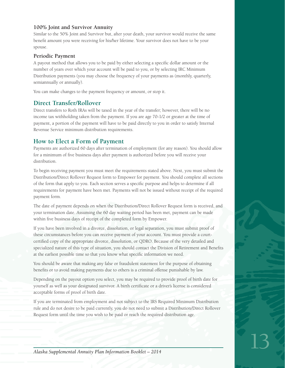#### **100% Joint and Survivor Annuity**

Similar to the 50% Joint and Survivor but, after your death, your survivor would receive the same benefit amount you were receiving for his/her lifetime. Your survivor does not have to be your spouse.

#### **Periodic Payment**

A payout method that allows you to be paid by either selecting a specific dollar amount or the number of years over which your account will be paid to you, or by selecting IRC Minimum Distribution payments (you may choose the frequency of your payments as (monthly, quarterly, semiannually or annually).

You can make changes to the payment frequency or amount, or stop it.

## **Direct Transfer/Rollover**

Direct transfers to Roth IRAs will be taxed in the year of the transfer; however, there will be no income tax withholding taken from the payment. If you are age 70-1/2 or greater at the time of payment, a portion of the payment will have to be paid directly to you in order to satisfy Internal Revenue Service minimum distribution requirements.

## **How to Elect a Form of Payment**

Payments are authorized 60 days after termination of employment (for any reason). You should allow for a minimum of five business days after payment is authorized before you will receive your distribution.

To begin receiving payment you must meet the requirements stated above. Next, you must submit the Distribution/Direct Rollover Request form to Empower for payment. You should complete all sections of the form that apply to you. Each section serves a specific purpose and helps to determine if all requirements for payment have been met. Payments will not be issued without receipt of the required payment form.

The date of payment depends on when the Distribution/Direct Rollover Request form is received, and your termination date. Assuming the 60 day waiting period has been met, payment can be made within five business days of receipt of the completed form by Empower.

If you have been involved in a divorce, dissolution, or legal separation, you must submit proof of these circumstances before you can receive payment of your account. You must provide a courtcertified copy of the appropriate divorce, dissolution, or QDRO. Because of the very detailed and specialized nature of this type of situation, you should contact the Division of Retirement and Benefits at the earliest possible time so that you know what specific information we need.

You should be aware that making any false or fraudulent statement for the purpose of obtaining benefits or to avoid making payments due to others is a criminal offense punishable by law.

Depending on the payout option you select, you may be required to provide proof of birth date for yourself as well as your designated survivor. A birth certificate or a driver's license is considered acceptable forms of proof of birth date.

If you are terminated from employment and not subject to the IRS Required Minimum Distribution rule and do not desire to be paid currently, you do not need to submit a Distribution/Direct Rollover Request form until the time you wish to be paid or reach the required distribution age.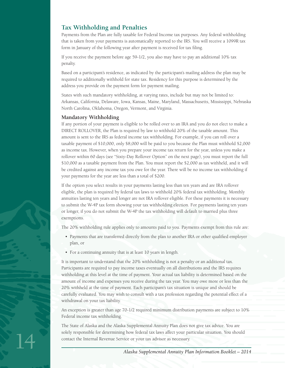## **Tax Withholding and Penalties**

Payments from the Plan are fully taxable for Federal Income tax purposes. Any federal withholding that is taken from your payments is automatically reported to the IRS. You will receive a 1099R tax form in January of the following year after payment is received for tax filing.

If you receive the payment before age 59-1/2, you also may have to pay an additional 10% tax penalty.

Based on a participant's residence, as indicated by the participant's mailing address the plan may be required to additionally withhold for state tax. Residency for this purpose is determined by the address you provide on the payment form for payment mailing.

States with such mandatory withholding, at varying rates, include but may not be limited to: Arkansas, California, Delaware, Iowa, Kansas, Maine, Maryland, Massachusetts, Mississippi, Nebraska North Carolina, Oklahoma, Oregon, Vermont, and Virginia.

#### **Mandatory Withholding**

14

If any portion of your payment is eligible to be rolled over to an IRA and you do not elect to make a DIRECT ROLLOVER, the Plan is required by law to withhold 20% of the taxable amount. This amount is sent to the IRS as federal income tax withholding. For example, if you can roll over a taxable payment of \$10,000, only \$8,000 will be paid to you because the Plan must withhold \$2,000 as income tax. However, when you prepare your income tax return for the year, unless you make a rollover within 60 days (see "Sixty-Day Rollover Option" on the next page), you must report the full \$10,000 as a taxable payment from the Plan. You must report the \$2,000 as tax withheld, and it will be credited against any income tax you owe for the year. There will be no income tax withholding if your payments for the year are less than a total of \$200.

If the option you select results in your payments lasting less than ten years and are IRA rollover eligible, the plan is required by federal tax laws to withhold 20% federal tax withholding. Monthly annuities lasting ten years and longer are not IRA rollover eligible. For these payments it is necessary to submit the W-4P tax form showing your tax withholding election. For payments lasting ten years or longer, if you do not submit the W-4P the tax withholding will default to married plus three exemptions.

The 20% withholding rule applies only to amounts paid to you. Payments exempt from this rule are:

- Payments that are transferred directly from the plan to another IRA or other qualified employer plan, or
- For a continuing annuity that is at least 10 years in length.

It is important to understand that the 20% withholding is not a penalty or an additional tax. Participants are required to pay income taxes eventually on all distributions and the IRS requires withholding at this level at the time of payment. Your actual tax liability is determined based on the amount of income and expenses you receive during the tax year. You may owe more or less than the 20% withheld at the time of payment. Each participant's tax situation is unique and should be carefully evaluated. You may wish to consult with a tax profession regarding the potential effect of a withdrawal on your tax liability.

An exception is greater than age 70-1/2 required minimum distribution payments are subject to 10% Federal income tax withholding.

The State of Alaska and the Alaska Supplemental Annuity Plan does not give tax advice. You are solely responsible for determining how federal tax laws affect your particular situation. You should contact the Internal Revenue Service or your tax advisor as necessary.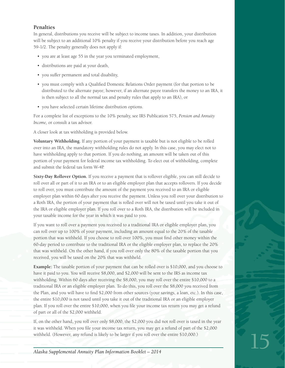#### **Penalties**

In general, distributions you receive will be subject to income taxes. In addition, your distribution will be subject to an additional 10% penalty if you receive your distribution before you reach age 59-1/2. The penalty generally does not apply if:

- you are at least age 55 in the year you terminated employment,
- distributions are paid at your death,
- you suffer permanent and total disability,
- you must comply with a Qualified Domestic Relations Order payment (for that portion to be distributed to the alternate payee; however, if an alternate payee transfers the money to an IRA, it is then subject to all the normal tax and penalty rules that apply to an IRA), or
- you have selected certain lifetime distribution options.

For a complete list of exceptions to the 10% penalty, see IRS Publication 575, *Pension and Annuity Income,* or consult a tax advisor.

A closer look at tax withholding is provided below.

**Voluntary Withholding.** If any portion of your payment is taxable but is not eligible to be rolled over into an IRA, the mandatory withholding rules do not apply. In this case, you may elect not to have withholding apply to that portion. If you do nothing, an amount will be taken out of this portion of your payment for federal income tax withholding. To elect out of withholding, complete and submit the federal tax form W-4P.

**Sixty-Day Rollover Option.** If you receive a payment that is rollover eligible, you can still decide to roll over all or part of it to an IRA or to an eligible employer plan that accepts rollovers. If you decide to roll over, you must contribute the amount of the payment you received to an IRA or eligible employer plan within 60 days after you receive the payment. Unless you roll over your distribution to a Roth IRA, the portion of your payment that is rolled over will not be taxed until you take it out of the IRA or eligible employer plan. If you roll over to a Roth IRA, the distribution will be included in your taxable income for the year in which it was paid to you.

If you want to roll over a payment you received to a traditional IRA or eligible employer plan, you can roll over up to 100% of your payment, including an amount equal to the 20% of the taxable portion that was withheld. If you choose to roll over 100%, you must find other money within the 60-day period to contribute to the traditional IRA or the eligible employer plan, to replace the 20% that was withheld. On the other hand, if you roll over only the 80% of the taxable portion that you received, you will be taxed on the 20% that was withheld.

**Example:** The taxable portion of your payment that can be rolled over is \$10,000, and you choose to have it paid to you. You will receive \$8,000, and \$2,000 will be sent to the IRS as income tax withholding. Within 60 days after receiving the \$8,000, you may roll over the entire \$10,000 to a traditional IRA or an eligible employer plan. To do this, you roll over the \$8,000 you received from the Plan, and you will have to find \$2,000 from other sources (your savings, a loan, etc.). In this case, the entire \$10,000 is not taxed until you take it out of the traditional IRA or an eligible employer plan. If you roll over the entire \$10,000, when you file your income tax return you may get a refund of part or all of the \$2,000 withheld.

If, on the other hand, you roll over only \$8,000, the \$2,000 you did not roll over is taxed in the year it was withheld. When you file your income tax return, you may get a refund of part of the \$2,000 withheld. (However, any refund is likely to be larger if you roll over the entire \$10,000.)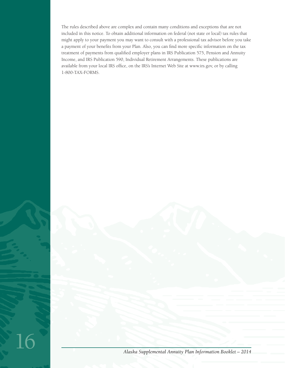The rules described above are complex and contain many conditions and exceptions that are not included in this notice. To obtain additional information on federal (not state or local) tax rules that might apply to your payment you may want to consult with a professional tax advisor before you take a payment of your benefits from your Plan. Also, you can find more specific information on the tax treatment of payments from qualified employer plans in IRS Publication 575, Pension and Annuity Income, and IRS Publication 590, Individual Retirement Arrangements. These publications are available from your local IRS office, on the IRS's Internet Web Site at www.irs.gov, or by calling 1-800-TAX-FORMS.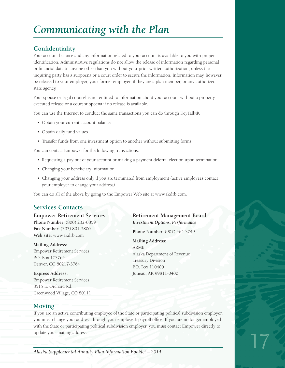# *Communicating with the Plan*

# **Confidentiality**

Your account balance and any information related to your account is available to you with proper identification. Administrative regulations do not allow the release of information regarding personal or financial data to anyone other than you without your prior written authorization, unless the inquiring party has a subpoena or a court order to secure the information. Information may, however, be released to your employer, your former employer, if they are a plan member, or any authorized state agency.

Your spouse or legal counsel is not entitled to information about your account without a properly executed release or a court subpoena if no release is available.

You can use the Internet to conduct the same transactions you can do through KeyTalk®.

- Obtain your current account balance
- Obtain daily fund values
- Transfer funds from one investment option to another without submitting forms

You can contact Empower for the following transactions:

- Requesting a pay out of your account or making a payment deferral election upon termination
- Changing your beneficiary information
- Changing your address only if you are terminated from employment (active employees contact your employer to change your address)

You can do all of the above by going to the Empower Web site at www.akdrb.com.

### **Services Contacts**

**Empower Retirement Services Phone Number:** (800) 232-0859 **Fax Number:** (303) 801-5800 **Web site:** www.akdrb.com

**Mailing Address:** Empower Retirement Services P.O. Box 173764 Denver, CO 80217-3764

**Express Address:** Empower Retirement Services 8515 E. Orchard Rd. Greenwood Village, CO 80111

#### **Retirement Management Board** *Investment Options, Performance*

**Phone Number:** (907) 465-3749

**Mailing Address:** ARMB Alaska Department of Revenue Treasury Division P.O. Box 110400 Juneau, AK 99811-0400

17

#### **Moving**

If you are an active contributing employee of the State or participating political subdivision employer, you must change your address through your employer's payroll office. If you are no longer employed with the State or participating political subdivision employer, you must contact Empower directly to update your mailing address.

*Alaska Supplemental Annuity Plan Information Booklet – 2014*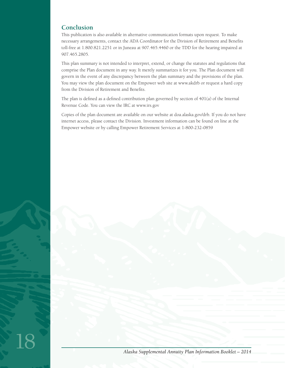## **Conclusion**

18

This publication is also available in alternative communication formats upon request. To make necessary arrangements, contact the ADA Coordinator for the Division of Retirement and Benefits toll-free at 1.800.821.2251 or in Juneau at 907.465.4460 or the TDD for the hearing impaired at 907.465.2805.

This plan summary is not intended to interpret, extend, or change the statutes and regulations that comprise the Plan document in any way. It merely summarizes it for you. The Plan document will govern in the event of any discrepancy between the plan summary and the provisions of the plan. You may view the plan document on the Empower web site at www.akdrb or request a hard copy from the Division of Retirement and Benefits.

The plan is defined as a defined contribution plan governed by section of  $401(a)$  of the Internal Revenue Code. You can view the IRC at www.irs.gov

Copies of the plan document are available on our website at doa.alaska.gov/drb. If you do not have internet access, please contact the Division. Investment information can be found on line at the Empower website or by calling Empower Retirement Services at 1-800-232-0859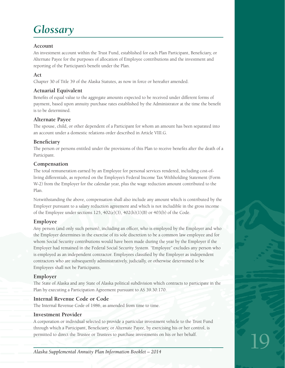# *Glossary*

#### **Account**

An investment account within the Trust Fund, established for each Plan Participant, Beneficiary, or Alternate Payee for the purposes of allocation of Employee contributions and the investment and reporting of the Participant's benefit under the Plan.

#### **Act**

Chapter 30 of Title 39 of the Alaska Statutes, as now in force or hereafter amended.

#### **Actuarial Equivalent**

Benefits of equal value to the aggregate amounts expected to be received under different forms of payment, based upon annuity purchase rates established by the Administrator at the time the benefit is to be determined.

#### **Alternate Payee**

The spouse, child, or other dependent of a Participant for whom an amount has been separated into an account under a domestic relations order described in Article VIII.G.

#### **Beneficiary**

The person or persons entitled under the provisions of this Plan to receive benefits after the death of a Participant.

#### **Compensation**

The total remuneration earned by an Employee for personal services rendered, including cost-ofliving differentials, as reported on the Employee's Federal Income Tax Withholding Statement (Form W-2) from the Employer for the calendar year, plus the wage reduction amount contributed to the Plan.

Notwithstanding the above, compensation shall also include any amount which is contributed by the Employer pursuant to a salary reduction agreement and which is not includible in the gross income of the Employee under sections 125, 402(e)(3), 402(h)(1)(B) or 403(b) of the Code.

#### **Employee**

Any person (and only such person), including an officer, who is employed by the Employer and who the Employer determines in the exercise of its sole discretion to be a common law employee and for whom Social Security contributions would have been made during the year by the Employer if the Employer had remained in the Federal Social Security System. "Employee" excludes any person who is employed as an independent contractor. Employees classified by the Employer as independent contractors who are subsequently administratively, judicially, or otherwise determined to be Employees shall not be Participants.

#### **Employer**

The State of Alaska and any State of Alaska political subdivision which contracts to participate in the Plan by executing a Participation Agreement pursuant to AS 39.30.170.

#### **Internal Revenue Code or Code**

The Internal Revenue Code of 1986, as amended from time to time.

#### **Investment Provider**

A corporation or individual selected to provide a particular investment vehicle to the Trust Fund through which a Participant, Beneficiary, or Alternate Payee, by exercising his or her control, is permitted to direct the Trustee or Trustees to purchase investments on his or her behalf.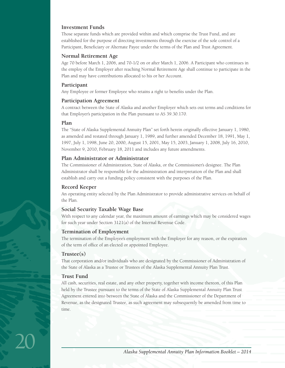#### **Investment Funds**

Those separate funds which are provided within and which comprise the Trust Fund, and are established for the purpose of directing investments through the exercise of the sole control of a Participant, Beneficiary or Alternate Payee under the terms of the Plan and Trust Agreement.

#### **Normal Retirement Age**

Age 70 before March 1, 2006, and 70-1/2 on or after March 1, 2006. A Participant who continues in the employ of the Employer after reaching Normal Retirement Age shall continue to participate in the Plan and may have contributions allocated to his or her Account.

#### **Participant**

Any Employee or former Employee who retains a right to benefits under the Plan.

#### **Participation Agreement**

A contract between the State of Alaska and another Employer which sets out terms and conditions for that Employer's participation in the Plan pursuant to AS 39.30.170.

#### **Plan**

The "State of Alaska Supplemental Annuity Plan" set forth herein originally effective January 1, 1980, as amended and restated through January 1, 1989, and further amended December 18, 1991, May 1, 1997, July 1, 1998, June 20, 2000, August 15, 2001, May 15, 2003, January 1, 2008, July 16, 2010, November 9, 2010, February 18, 2011 and includes any future amendments.

#### **Plan Administrator or Administrator**

The Commissioner of Administration, State of Alaska, or the Commissioner's designee. The Plan Administrator shall be responsible for the administration and interpretation of the Plan and shall establish and carry out a funding policy consistent with the purposes of the Plan.

#### **Record Keeper**

An operating entity selected by the Plan Administrator to provide administrative services on behalf of the Plan.

#### **Social Security Taxable Wage Base**

With respect to any calendar year, the maximum amount of earnings which may be considered wages for such year under Section 3121(a) of the Internal Revenue Code.

#### **Termination of Employment**

The termination of the Employee's employment with the Employer for any reason, or the expiration of the term of office of an elected or appointed Employee.

#### **Trustee(s)**

That corporation and/or individuals who are designated by the Commissioner of Administration of the State of Alaska as a Trustee or Trustees of the Alaska Supplemental Annuity Plan Trust.

#### **Trust Fund**

20

All cash, securities, real estate, and any other property, together with income thereon, of this Plan held by the Trustee pursuant to the terms of the State of Alaska Supplemental Annuity Plan Trust Agreement entered into between the State of Alaska and the Commissioner of the Department of Revenue, as the designated Trustee, as such agreement may subsequently be amended from time to time.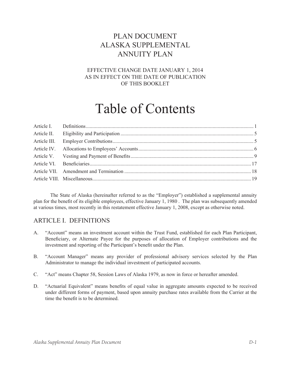# PLAN DOCUMENT ALASKA SUPPLEMENTAL ANNUITY PLAN

### EFFECTIVE CHANGE DATE JANUARY 1, 2014 AS IN EFFECT ON THE DATE OF PUBLICATION OF THIS BOOKLET

# Table of Contents

The State of Alaska (hereinafter referred to as the "Employer") established a supplemental annuity plan for the benefit of its eligible employees, effective January 1, 1980 . The plan was subsequently amended at various times, most recently in this restatement effective January 1, 2008, except as otherwise noted.

# ARTICLE I. DEFINITIONS

- A. "Account" means an investment account within the Trust Fund, established for each Plan Participant, Beneficiary, or Alternate Payee for the purposes of allocation of Employer contributions and the investment and reporting of the Participant's benefit under the Plan.
- B. "Account Manager" means any provider of professional advisory services selected by the Plan Administrator to manage the individual investment of participated accounts.
- C. "Act" means Chapter 58, Session Laws of Alaska 1979, as now in force or hereafter amended.
- D. "Actuarial Equivalent" means benefits of equal value in aggregate amounts expected to be received under different forms of payment, based upon annuity purchase rates available from the Carrier at the time the benefit is to be determined.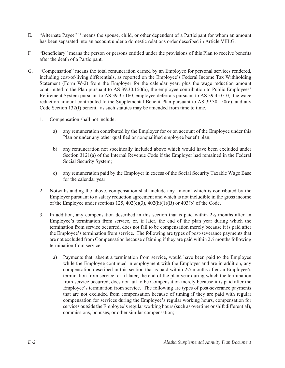- E. "Alternate Payee" **"** means the spouse, child, or other dependent of a Participant for whom an amount has been separated into an account under a domestic relations order described in Article VIII.G.
- F. "Beneficiary" means the person or persons entitled under the provisions of this Plan to receive benefits after the death of a Participant.
- G. "Compensation" means the total remuneration earned by an Employee for personal services rendered, including cost-of-living differentials, as reported on the Employee's Federal Income Tax Withholding Statement (Form W-2) from the Employer for the calendar year, plus the wage reduction amount contributed to the Plan pursuant to AS 39.30.150(a), the employee contribution to Public Employees' Retirement System pursuant to AS 39.35.160, employee deferrals pursuant to AS 39.45.010, the wage reduction amount contributed to the Supplemental Benefit Plan pursuant to AS 39.30.150(c), and any Code Section 132(f) benefit, as such statutes may be amended from time to time.
	- 1. Compensation shall not include:
		- a) any remuneration contributed by the Employer for or on account of the Employee under this Plan or under any other qualified or nonqualified employee benefit plan;
		- b) any remuneration not specifically included above which would have been excluded under Section 3121(a) of the Internal Revenue Code if the Employer had remained in the Federal Social Security System;
		- c) any remuneration paid by the Employer in excess of the Social Security Taxable Wage Base for the calendar year.
	- 2. Notwithstanding the above, compensation shall include any amount which is contributed by the Employer pursuant to a salary reduction agreement and which is not includible in the gross income of the Employee under sections  $125$ ,  $402(e)(3)$ ,  $402(h)(1)(B)$  or  $403(b)$  of the Code.
	- 3. In addition, any compensation described in this section that is paid within 2½ months after an Employee's termination from service, or, if later, the end of the plan year during which the termination from service occurred, does not fail to be compensation merely because it is paid after the Employee's termination from service. The following are types of post-severance payments that are not excluded from Compensation because of timing if they are paid within 2½ months following termination from service:
		- a) Payments that, absent a termination from service, would have been paid to the Employee while the Employee continued in employment with the Employer and are in addition, any compensation described in this section that is paid within 2½ months after an Employee's termination from service, or, if later, the end of the plan year during which the termination from service occurred, does not fail to be Compensation merely because it is paid after the Employee's termination from service. The following are types of post-severance payments that are not excluded from compensation because of timing if they are paid with regular compensation for services during the Employee's regular working hours, compensation for services outside the Employee's regular working hours (such as overtime or shift differential), commissions, bonuses, or other similar compensation;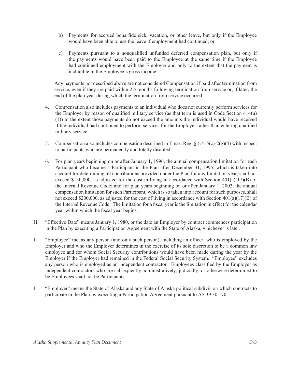- b) Payments for accrued bona fide sick, vacation, or other leave, but only if the Employee would have been able to use the leave if employment had continued; or
- c) Payments pursuant to a nonqualified unfunded deferred compensation plan, but only if the payments would have been paid to the Employee at the same time if the Employee had continued employment with the Employer and only to the extent that the payment is includible in the Employee's gross income.

Any payments not described above are not considered Compensation if paid after termination from service, even if they are paid within 2½ months following termination from service or, if later, the end of the plan year during which the termination from service occurred.

- 4. Compensation also includes payments to an individual who does not currently perform services for the Employer by reason of qualified military service (as that term is used in Code Section 414(u) (1)) to the extent those payments do not exceed the amounts the individual would have received if the individual had continued to perform services for the Employer rather than entering qualified military service.
- 5. Compensation also includes compensation described in Treas. Reg.  $\S 1.415(c) 2(g)(4)$  with respect to participants who are permanently and totally disabled.
- 6. For plan years beginning on or after January 1, 1996, the annual compensation limitation for each Participant who became a Participant in the Plan after December 31, 1995, which is taken into account for determining all contributions provided under the Plan for any limitation year, shall not exceed \$150,000, as adjusted for the cost-in-living in accordance with Section 401(a)(17)(B) of the Internal Revenue Code; and for plan years beginning on or after January 1, 2002, the annual compensation limitation for such Participant, which is so taken into account for such purposes, shall not exceed \$200,000, as adjusted for the cost of living in accordance with Section 401(a)(17)(B) of the Internal Revenue Code. The limitation for a fiscal year is the limitation in effect for the calendar year within which the fiscal year begins.
- H. "Effective Date" means January 1, 1980, or the date an Employer by contract commences participation in the Plan by executing a Participation Agreement with the State of Alaska, whichever is later.
- I. "Employee" means any person (and only such person), including an officer, who is employed by the Employer and who the Employer determines in the exercise of its sole discretion to be a common law employee and for whom Social Security contributions would have been made during the year by the Employer if the Employer had remained in the Federal Social Security System. "Employee" excludes any person who is employed as an independent contractor. Employees classified by the Employer as independent contractors who are subsequently administratively, judicially, or otherwise determined to be Employees shall not be Participants.
- J. "Employer" means the State of Alaska and any State of Alaska political subdivision which contracts to participate in the Plan by executing a Participation Agreement pursuant to AS 39.30.170.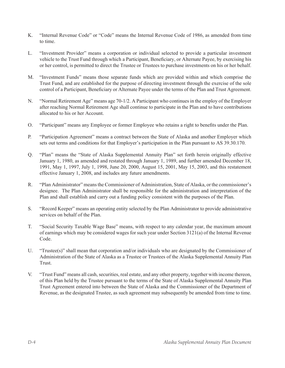- K. "Internal Revenue Code" or "Code" means the Internal Revenue Code of 1986, as amended from time to time.
- L. "Investment Provider" means a corporation or individual selected to provide a particular investment vehicle to the Trust Fund through which a Participant, Beneficiary, or Alternate Payee, by exercising his or her control, is permitted to direct the Trustee or Trustees to purchase investments on his or her behalf.
- M. "Investment Funds" means those separate funds which are provided within and which comprise the Trust Fund, and are established for the purpose of directing investment through the exercise of the sole control of a Participant, Beneficiary or Alternate Payee under the terms of the Plan and Trust Agreement.
- N. "Normal Retirement Age" means age 70-1/2. A Participant who continues in the employ of the Employer after reaching Normal Retirement Age shall continue to participate in the Plan and to have contributions allocated to his or her Account.
- O. "Participant" means any Employee or former Employee who retains a right to benefits under the Plan.
- P. "Participation Agreement" means a contract between the State of Alaska and another Employer which sets out terms and conditions for that Employer's participation in the Plan pursuant to AS 39.30.170.
- Q. "Plan" means the "State of Alaska Supplemental Annuity Plan" set forth herein originally effective January 1, 1980, as amended and restated through January 1, 1989, and further amended December 18, 1991, May 1, 1997, July 1, 1998, June 20, 2000, August 15, 2001, May 15, 2003, and this restatement effective January 1, 2008, and includes any future amendments.
- R. "Plan Administrator" means the Commissioner of Administration, State of Alaska, or the commissioner's designee. The Plan Administrator shall be responsible for the administration and interpretation of the Plan and shall establish and carry out a funding policy consistent with the purposes of the Plan.
- S. "Record Keeper" means an operating entity selected by the Plan Administrator to provide administrative services on behalf of the Plan.
- T. "Social Security Taxable Wage Base" means, with respect to any calendar year, the maximum amount of earnings which may be considered wages for such year under Section 3121(a) of the Internal Revenue Code.
- U. "Trustee(s)" shall mean that corporation and/or individuals who are designated by the Commissioner of Administration of the State of Alaska as a Trustee or Trustees of the Alaska Supplemental Annuity Plan Trust.
- V. "Trust Fund" means all cash, securities, real estate, and any other property, together with income thereon, of this Plan held by the Trustee pursuant to the terms of the State of Alaska Supplemental Annuity Plan Trust Agreement entered into between the State of Alaska and the Commissioner of the Department of Revenue, as the designated Trustee, as such agreement may subsequently be amended from time to time.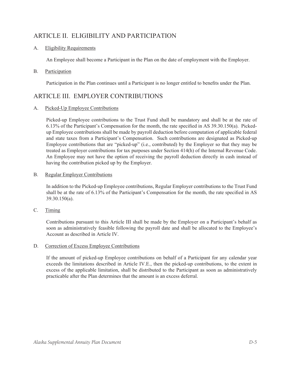# ARTICLE II. ELIGIBILITY AND PARTICIPATION

#### A. Eligibility Requirements

An Employee shall become a Participant in the Plan on the date of employment with the Employer.

#### B. Participation

Participation in the Plan continues until a Participant is no longer entitled to benefits under the Plan.

# ARTICLE III. EMPLOYER CONTRIBUTIONS

#### A. Picked-Up Employee Contributions

Picked-up Employee contributions to the Trust Fund shall be mandatory and shall be at the rate of 6.13% of the Participant's Compensation for the month, the rate specified in AS 39.30.150(a). Pickedup Employee contributions shall be made by payroll deduction before computation of applicable federal and state taxes from a Participant's Compensation. Such contributions are designated as Picked-up Employee contributions that are "picked-up" (i.e., contributed) by the Employer so that they may be treated as Employer contributions for tax purposes under Section 414(h) of the Internal Revenue Code. An Employee may not have the option of receiving the payroll deduction directly in cash instead of having the contribution picked up by the Employer.

#### B. Regular Employer Contributions

In addition to the Picked-up Employee contributions, Regular Employer contributions to the Trust Fund shall be at the rate of 6.13% of the Participant's Compensation for the month, the rate specified in AS 39.30.150(a).

C. Timing

Contributions pursuant to this Article III shall be made by the Employer on a Participant's behalf as soon as administratively feasible following the payroll date and shall be allocated to the Employee's Account as described in Article IV.

#### D. Correction of Excess Employee Contributions

If the amount of picked-up Employee contributions on behalf of a Participant for any calendar year exceeds the limitations described in Article IV.E., then the picked-up contributions, to the extent in excess of the applicable limitation, shall be distributed to the Participant as soon as administratively practicable after the Plan determines that the amount is an excess deferral.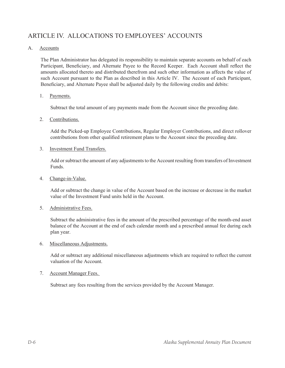# ARTICLE IV. ALLOCATIONS TO EMPLOYEES' ACCOUNTS

#### A. Accounts

The Plan Administrator has delegated its responsibility to maintain separate accounts on behalf of each Participant, Beneficiary, and Alternate Payee to the Record Keeper. Each Account shall reflect the amounts allocated thereto and distributed therefrom and such other information as affects the value of such Account pursuant to the Plan as described in this Article IV. The Account of each Participant, Beneficiary, and Alternate Payee shall be adjusted daily by the following credits and debits:

#### 1. Payments.

Subtract the total amount of any payments made from the Account since the preceding date.

#### 2. Contributions.

Add the Picked-up Employee Contributions, Regular Employer Contributions, and direct rollover contributions from other qualified retirement plans to the Account since the preceding date.

#### 3. Investment Fund Transfers.

Add or subtract the amount of any adjustments to the Account resulting from transfers of Investment Funds.

4. Change-in-Value.

Add or subtract the change in value of the Account based on the increase or decrease in the market value of the Investment Fund units held in the Account.

5. Administrative Fees.

Subtract the administrative fees in the amount of the prescribed percentage of the month-end asset balance of the Account at the end of each calendar month and a prescribed annual fee during each plan year.

6. Miscellaneous Adjustments.

Add or subtract any additional miscellaneous adjustments which are required to reflect the current valuation of the Account.

7. Account Manager Fees.

Subtract any fees resulting from the services provided by the Account Manager.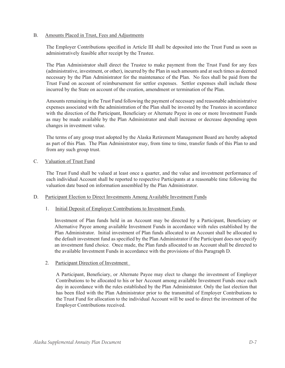#### B. Amounts Placed in Trust, Fees and Adjustments

The Employer Contributions specified in Article III shall be deposited into the Trust Fund as soon as administratively feasible after receipt by the Trustee.

The Plan Administrator shall direct the Trustee to make payment from the Trust Fund for any fees (administrative, investment, or other), incurred by the Plan in such amounts and at such times as deemed necessary by the Plan Administrator for the maintenance of the Plan. No fees shall be paid from the Trust Fund on account of reimbursement for settlor expenses. Settlor expenses shall include those incurred by the State on account of the creation, amendment or termination of the Plan.

Amounts remaining in the Trust Fund following the payment of necessary and reasonable administrative expenses associated with the administration of the Plan shall be invested by the Trustees in accordance with the direction of the Participant, Beneficiary or Alternate Payee in one or more Investment Funds as may be made available by the Plan Administrator and shall increase or decrease depending upon changes in investment value.

The terms of any group trust adopted by the Alaska Retirement Management Board are hereby adopted as part of this Plan. The Plan Administrator may, from time to time, transfer funds of this Plan to and from any such group trust.

#### C. Valuation of Trust Fund

The Trust Fund shall be valued at least once a quarter, and the value and investment performance of each individual Account shall be reported to respective Participants at a reasonable time following the valuation date based on information assembled by the Plan Administrator.

#### D. Participant Election to Direct Investments Among Available Investment Funds

#### 1. Initial Deposit of Employer Contributions to Investment Funds

Investment of Plan funds held in an Account may be directed by a Participant, Beneficiary or Alternative Payee among available Investment Funds in accordance with rules established by the Plan Administrator. Initial investment of Plan funds allocated to an Account shall be allocated to the default investment fund as specified by the Plan Administrator if the Participant does not specify an investment fund choice. Once made, the Plan funds allocated to an Account shall be directed to the available Investment Funds in accordance with the provisions of this Paragraph D.

#### 2. Participant Direction of Investment

A Participant, Beneficiary, or Alternate Payee may elect to change the investment of Employer Contributions to be allocated to his or her Account among available Investment Funds once each day in accordance with the rules established by the Plan Administrator. Only the last election that has been filed with the Plan Administrator prior to the transmittal of Employer Contributions to the Trust Fund for allocation to the individual Account will be used to direct the investment of the Employer Contributions received.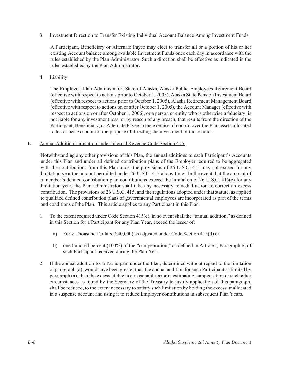#### 3. Investment Direction to Transfer Existing Individual Account Balance Among Investment Funds

A Participant, Beneficiary or Alternate Payee may elect to transfer all or a portion of his or her existing Account balance among available Investment Funds once each day in accordance with the rules established by the Plan Administrator. Such a direction shall be effective as indicated in the rules established by the Plan Administrator.

4. Liability

The Employer, Plan Administrator, State of Alaska, Alaska Public Employees Retirement Board (effective with respect to actions prior to October 1, 2005), Alaska State Pension Investment Board (effective with respect to actions prior to October 1, 2005), Alaska Retirement Management Board (effective with respect to actions on or after October 1, 2005), the Account Manager (effective with respect to actions on or after October 1, 2006), or a person or entity who is otherwise a fiduciary, is not liable for any investment loss, or by reason of any breach, that results from the direction of the Participant, Beneficiary, or Alternate Payee in the exercise of control over the Plan assets allocated to his or her Account for the purpose of directing the investment of those funds.

#### E. Annual Addition Limitation under Internal Revenue Code Section 415

Notwithstanding any other provisions of this Plan, the annual additions to each Participant's Accounts under this Plan and under all defined contribution plans of the Employer required to be aggregated with the contributions from this Plan under the provisions of 26 U.S.C. 415 may not exceed for any limitation year the amount permitted under 26 U.S.C. 415 at any time. In the event that the amount of a member's defined contribution plan contributions exceed the limitation of 26 U.S.C. 415(c) for any limitation year, the Plan administrator shall take any necessary remedial action to correct an excess contribution. The provisions of 26 U.S.C. 415, and the regulations adopted under that statute, as applied to qualified defined contribution plans of governmental employees are incorporated as part of the terms and conditions of the Plan. This article applies to any Participant in this Plan.

- 1. To the extent required under Code Section 415(c), in no event shall the "annual addition," as defined in this Section for a Participant for any Plan Year, exceed the lesser of:
	- a) Forty Thousand Dollars (\$40,000) as adjusted under Code Section 415(d) or
	- b) one-hundred percent (100%) of the "compensation," as defined in Article I, Paragraph F, of such Participant received during the Plan Year.
- 2. If the annual addition for a Participant under the Plan, determined without regard to the limitation of paragraph (a), would have been greater than the annual addition for such Participant as limited by paragraph (a), then the excess, if due to a reasonable error in estimating compensation or such other circumstances as found by the Secretary of the Treasury to justify application of this paragraph, shall be reduced, to the extent necessary to satisfy such limitation by holding the excess unallocated in a suspense account and using it to reduce Employer contributions in subsequent Plan Years.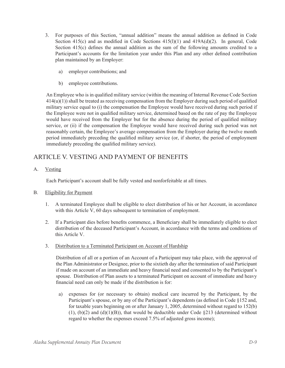- 3. For purposes of this Section, "annual addition" means the annual addition as defined in Code Section  $415(c)$  and as modified in Code Sections  $415(l)(1)$  and  $419A(d)(2)$ . In general, Code Section 415(c) defines the annual addition as the sum of the following amounts credited to a Participant's accounts for the limitation year under this Plan and any other defined contribution plan maintained by an Employer:
	- a) employer contributions; and
	- b) employee contributions.

An Employee who is in qualified military service (within the meaning of Internal Revenue Code Section  $414(u)(1)$ ) shall be treated as receiving compensation from the Employer during such period of qualified military service equal to (i) the compensation the Employee would have received during such period if the Employee were not in qualified military service, determined based on the rate of pay the Employee would have received from the Employer but for the absence during the period of qualified military service, or (ii) if the compensation the Employee would have received during such period was not reasonably certain, the Employee's average compensation from the Employer during the twelve month period immediately preceding the qualified military service (or, if shorter, the period of employment immediately preceding the qualified military service).

# ARTICLE V. VESTING AND PAYMENT OF BENEFITS

A. Vesting

Each Participant's account shall be fully vested and nonforfeitable at all times.

- B. Eligibility for Payment
	- 1. A terminated Employee shall be eligible to elect distribution of his or her Account, in accordance with this Article V, 60 days subsequent to termination of employment.
	- 2. If a Participant dies before benefits commence, a Beneficiary shall be immediately eligible to elect distribution of the deceased Participant's Account, in accordance with the terms and conditions of this Article V.
	- 3. Distribution to a Terminated Participant on Account of Hardship

Distribution of all or a portion of an Account of a Participant may take place, with the approval of the Plan Administrator or Designee, prior to the sixtieth day after the termination of said Participant if made on account of an immediate and heavy financial need and consented to by the Participant's spouse. Distribution of Plan assets to a terminated Participant on account of immediate and heavy financial need can only be made if the distribution is for:

a) expenses for (or necessary to obtain) medical care incurred by the Participant, by the Participant's spouse, or by any of the Participant's dependents (as defined in Code §152 and, for taxable years beginning on or after January 1, 2005, determined without regard to 152(b)  $(1)$ ,  $(b)(2)$  and  $(d)(1)(B)$ ), that would be deductible under Code §213 (determined without regard to whether the expenses exceed 7.5% of adjusted gross income);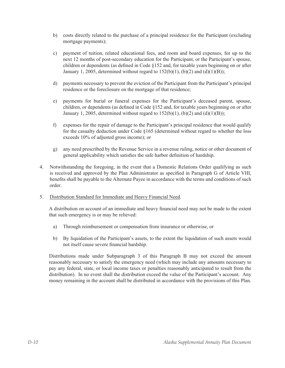- b) costs directly related to the purchase of a principal residence for the Participant (excluding mortgage payments);
- c) payment of tuition, related educational fees, and room and board expenses, for up to the next 12 months of post-secondary education for the Participant, or the Participant's spouse, children or dependents (as defined in Code §152 and, for taxable years beginning on or after January 1, 2005, determined without regard to  $152(b)(1)$ ,  $(b)(2)$  and  $(d)(1)(B)$ ;
- d) payments necessary to prevent the eviction of the Participant from the Participant's principal residence or the foreclosure on the mortgage of that residence;
- e) payments for burial or funeral expenses for the Participant's deceased parent, spouse, children, or dependents (as defined in Code §152 and, for taxable years beginning on or after January 1, 2005, determined without regard to  $152(b)(1)$ ,  $(b)(2)$  and  $(d)(1)(B)$ ;
- f) expenses for the repair of damage to the Participant's principal residence that would qualify for the casualty deduction under Code §165 (determined without regard to whether the loss exceeds 10% of adjusted gross income); or
- g) any need prescribed by the Revenue Service in a revenue ruling, notice or other document of general applicability which satisfies the safe harbor definition of hardship.
- 4. Notwithstanding the foregoing, in the event that a Domestic Relations Order qualifying as such is received and approved by the Plan Administrator as specified in Paragraph G of Article VIII, benefits shall be payable to the Alternate Payee in accordance with the terms and conditions of such order.

#### 5. Distribution Standard for Immediate and Heavy Financial Need.

A distribution on account of an immediate and heavy financial need may not be made to the extent that such emergency is or may be relieved:

- a) Through reimbursement or compensation from insurance or otherwise, or
- b) By liquidation of the Participant's assets, to the extent the liquidation of such assets would not itself cause severe financial hardship.

Distributions made under Subparagraph 3 of this Paragraph B may not exceed the amount reasonably necessary to satisfy the emergency need (which may include any amounts necessary to pay any federal, state, or local income taxes or penalties reasonably anticipated to result from the distribution). In no event shall the distribution exceed the value of the Participant's account. Any money remaining in the account shall be distributed in accordance with the provisions of this Plan.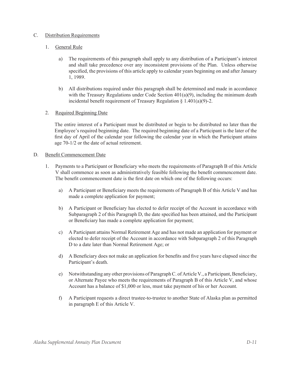#### C. Distribution Requirements

#### 1. General Rule

- a) The requirements of this paragraph shall apply to any distribution of a Participant's interest and shall take precedence over any inconsistent provisions of the Plan. Unless otherwise specified, the provisions of this article apply to calendar years beginning on and after January 1, 1989.
- b) All distributions required under this paragraph shall be determined and made in accordance with the Treasury Regulations under Code Section  $401(a)(9)$ , including the minimum death incidental benefit requirement of Treasury Regulation  $\S$  1.401(a)(9)-2.

#### 2. Required Beginning Date

The entire interest of a Participant must be distributed or begin to be distributed no later than the Employee's required beginning date. The required beginning date of a Participant is the later of the first day of April of the calendar year following the calendar year in which the Participant attains age 70-1/2 or the date of actual retirement.

#### D. Benefit Commencement Date

- 1. Payments to a Participant or Beneficiary who meets the requirements of Paragraph B of this Article V shall commence as soon as administratively feasible following the benefit commencement date. The benefit commencement date is the first date on which one of the following occurs:
	- a) A Participant or Beneficiary meets the requirements of Paragraph B of this Article V and has made a complete application for payment;
	- b) A Participant or Beneficiary has elected to defer receipt of the Account in accordance with Subparagraph 2 of this Paragraph D, the date specified has been attained, and the Participant or Beneficiary has made a complete application for payment;
	- c) A Participant attains Normal Retirement Age and has not made an application for payment or elected to defer receipt of the Account in accordance with Subparagraph 2 of this Paragraph D to a date later than Normal Retirement Age; or
	- d) A Beneficiary does not make an application for benefits and five years have elapsed since the Participant's death.
	- e) Notwithstanding any other provisions of Paragraph C. of Article V., a Participant, Beneficiary, or Alternate Payee who meets the requirements of Paragraph B of this Article V, and whose Account has a balance of \$1,000 or less, must take payment of his or her Account.
	- f) A Participant requests a direct trustee-to-trustee to another State of Alaska plan as permitted in paragraph E of this Article V.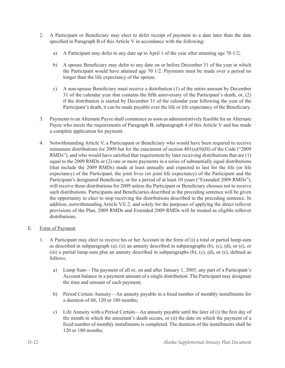- 2. A Participant or Beneficiary may elect to defer receipt of payment to a date later than the date specified in Paragraph B of this Article V in accordance with the following:
	- a) A Participant may defer to any date up to April 1 of the year after attaining age 70 1/2;
	- b) A spouse Beneficiary may defer to any date on or before December 31 of the year in which the Participant would have attained age 70 1/2. Payments must be made over a period no longer than the life expectancy of the spouse.
	- c) A non-spouse Beneficiary must receive a distribution (1) of the entire amount by December 31 of the calendar year that contains the fifth anniversary of the Participant's death, or, (2) if the distribution is started by December 31 of the calendar year following the year of the Participant's death, it can be made payable over the life or life expectancy of the Beneficiary.
- 3. Payments to an Alternate Payee shall commence as soon as administratively feasible for an Alternate Payee who meets the requirements of Paragraph B, subparagraph 4 of this Article V and has made a complete application for payment.
- 4. Notwithstanding Article V, a Particiapant or Beneficiary who would have been required to receive minumum distributions for 2009 but for the enactment of section 401(a)(9)(H) of the Code ("2009 RMDs"), and who would have satisfied that requirement by later receiving distributions that are (1) equal to the 2009 RMDs or (2) one or more payments in a series of substantially equal distributions (that include the 2009 RMDs) made at least annually and expected to last for the life (or life expectancy) of the Participant, the joint lives (or joint life expectancy) of the Participant and the Participant's designated Beneficiary, or for a period of at least 10 years ("Extended 2009 RMDs"), will receive those distributions for 2009 unless the Participant or Beneficiary chooses not to receive such distributions. Participants and Beneficiaries described in the preceding sentence will be given the opportunity to elect to stop receiving the distributions described in the preceding sentence. In addition, notwithstanding Article V.E.2, and solely for the purposes of applying the direct rollover provisions of the Plan, 2009 RMDs and Extended 2009 RMDs will be treated as eligible rollover distributions.
- E. Form of Payment
	- 1. A Participant may elect to receive his or her Account in the form of (i) a total or partial lump-sum as described in subparagraph (a); (ii) an annuity described in subparagraphs (b),  $(c)$ ,  $(d)$ , or  $(e)$ , or (iii) a partial lump-sum plus an annuity described in subparagraphs (b), (c), (d), or (e), defined as follows:
		- a) Lump Sum—The payment of all or, on and after January 1, 2005, any part of a Participant's Account balance in a payment amount of a single distribution. The Participant may designate the time and amount of each payment;
		- b) Period Certain Annuity—An annuity payable in a fixed number of monthly installments for a duration of 60, 120 or 180 months;
		- c) Life Annuity with a Period Certain—An annuity payable until the later of (i) the first day of the month in which the annuitant's death occurs, or (ii) the date on which the payment of a fixed number of monthly installments is completed. The duration of the installments shall be 120 or 180 months;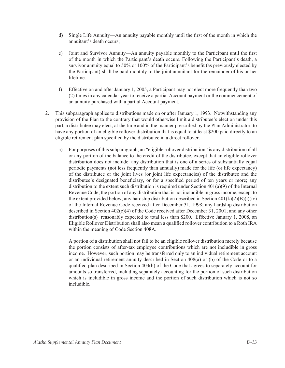- d) Single Life Annuity—An annuity payable monthly until the first of the month in which the annuitant's death occurs;
- e) Joint and Survivor Annuity—An annuity payable monthly to the Participant until the first of the month in which the Participant's death occurs. Following the Participant's death, a survivor annuity equal to 50% or 100% of the Participant's benefit (as previously elected by the Participant) shall be paid monthly to the joint annuitant for the remainder of his or her lifetime.
- f) Effective on and after January 1, 2005, a Participant may not elect more frequently than two (2) times in any calendar year to receive a partial Account payment or the commencement of an annuity purchased with a partial Account payment.
- 2. This subparagraph applies to distributions made on or after January 1, 1993. Notwithstanding any provision of the Plan to the contrary that would otherwise limit a distributee's election under this part, a distributee may elect, at the time and in the manner prescribed by the Plan Administrator, to have any portion of an eligible rollover distribution that is equal to at least \$200 paid directly to an eligible retirement plan specified by the distributee in a direct rollover.
	- a) For purposes of this subparagraph, an "eligible rollover distribution" is any distribution of all or any portion of the balance to the credit of the distributee, except that an eligible rollover distribution does not include: any distribution that is one of a series of substantially equal periodic payments (not less frequently than annually) made for the life (or life expectancy) of the distributee or the joint lives (or joint life expectancies) of the distributee and the distributee's designated beneficiary, or for a specified period of ten years or more; any distribution to the extent such distribution is required under Section  $401(a)(9)$  of the Internal Revenue Code; the portion of any distribution that is not includible in gross income, except to the extent provided below; any hardship distribution described in Section  $401(k)(2)(B)(i)(iv)$ of the Internal Revenue Code received after December 31, 1998; any hardship distribution described in Section 402(c)(4) of the Code received after December 31, 2001; and any other distribution(s) reasonably expected to total less than \$200. Effective January 1, 2008, an Eligible Rollover Distribution shall also mean a qualified rollover contribution to a Roth IRA within the meaning of Code Section 408A.

A portion of a distribution shall not fail to be an eligible rollover distribution merely because the portion consists of after-tax employee contributions which are not includible in gross income. However, such portion may be transferred only to an individual retirement account or an individual retirement annuity described in Section 408(a) or (b) of the Code or to a qualified plan described in Section 403(b) of the Code that agrees to separately account for amounts so transferred, including separately accounting for the portion of such distribution which is includible in gross income and the portion of such distribution which is not so includible.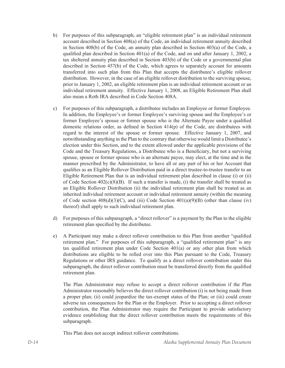- b) For purposes of this subparagraph, an "eligible retirement plan" is an individual retirement account described in Section 408(a) of the Code, an individual retirement annuity described in Section 408(b) of the Code, an annuity plan described in Section 403(a) of the Code, a qualified plan described in Section 401(a) of the Code, and on and after January 1, 2002, a tax sheltered annuity plan described in Section 403(b) of the Code or a governmental plan described in Section 457(b) of the Code, which agrees to separately account for amounts transferred into such plan from this Plan that accepts the distributee's eligible rollover distribution. However, in the case of an eligible rollover distribution to the surviving spouse, prior to January 1, 2002, an eligible retirement plan is an individual retirement account or an individual retirement annuity. Effective January 1, 2008, an Eligible Retirement Plan shall also mean a Roth IRA described in Code Section 408A.
- c) For purposes of this subparagraph, a distributee includes an Employee or former Employee. In addition, the Employee's or former Employee's surviving spouse and the Employee's or former Employee's spouse or former spouse who is the Alternate Payee under a qualified domestic relations order, as defined in Section 414(p) of the Code, are distributees with regard to the interest of the spouse or former spouse. Effective January 1, 2007, and notwithstanding anything in the Plan to the contrary that otherwise would limit a Distributee's election under this Section, and to the extent allowed under the applicable provisions of the Code and the Treasury Regulations, a Distributee who is a Beneficiary, but not a surviving spouse, spouse or former spouse who is an alternate payee, may elect, at the time and in the manner prescribed by the Administrator, to have all or any part of his or her Account that qualifies as an Eligible Rollover Distribution paid in a direct trustee‑to‑trustee transfer to an Eligible Retirement Plan that is an individual retirement plan described in clause (i) or (ii) of Code Section  $402(c)(8)(B)$ . If such a transfer is made, (i) the transfer shall be treated as an Eligible Rollover Distribution (ii) the individual retirement plan shall be treated as an inherited individual retirement account or individual retirement annuity (within the meaning of Code section  $408(d)(3)(C)$ , and (iii) Code Section  $401(a)(9)(B)$  (other than clause (iv) thereof) shall apply to such individual retirement plan.
- d) For purposes of this subparagraph, a "direct rollover" is a payment by the Plan to the eligible retirement plan specified by the distributee.
- e) A Participant may make a direct rollover contribution to this Plan from another "qualified retirement plan." For purposes of this subparagraph, a "qualified retirement plan" is any tax qualified retirement plan under Code Section 401(a) or any other plan from which distributions are eligible to be rolled over into this Plan pursuant to the Code, Treasury Regulations or other IRS guidance. To qualify as a direct rollover contribution under this subparagraph, the direct rollover contribution must be transferred directly from the qualified retirement plan.

The Plan Administrator may refuse to accept a direct rollover contribution if the Plan Administrator reasonably believes the direct rollover contribution (i) is not being made from a proper plan; (ii) could jeopardize the tax-exempt status of the Plan; or (iii) could create adverse tax consequences for the Plan or the Employer. Prior to accepting a direct rollover contribution, the Plan Administrator may require the Participant to provide satisfactory evidence establishing that the direct rollover contribution meets the requirements of this subparagraph.

This Plan does not accept indirect rollover contributions.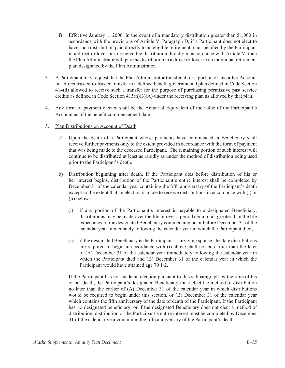- f) Effective January 1, 2006, in the event of a mandatory distribution greater than \$1,000 in accordance with the provisions of Article V, Paragraph D, if a Participant does not elect to have such distribution paid directly to an eligible retirement plan specified by the Participant in a direct rollover or to receive the distribution directly in accordance with Article V, then the Plan Administrator will pay the distribution in a direct rollover to an individual retirement plan designated by the Plan Administrator.
- 3. A Participant may request that the Plan Administrator transfer all or a portion of his or her Account in a direct trustee-to-trustee transfer to a defined benefit governmental plan defined in Code Section 414(d) allowed to receive such a transfer for the purpose of purchasing permissive past service credits as defined in Code Section 415(n)(3)(A) under the receiving plan as allowed by that plan.
- 4. Any form of payment elected shall be the Actuarial Equivalent of the value of the Participant's Account as of the benefit commencement date.
- 5. Plan Distributions on Account of Death
	- a) Upon the death of a Participant whose payments have commenced, a Beneficiary shall receive further payments only to the extent provided in accordance with the form of payment that was being made to the deceased Participant. The remaining portion of such interest will continue to be distributed at least as rapidly as under the method of distribution being used prior to the Participant's death.
	- b) Distribution beginning after death. If the Participant dies before distribution of his or her interest begins, distribution of the Participant's entire interest shall be completed by December 31 of the calendar year containing the fifth anniversary of the Participant's death except to the extent that an election is made to receive distributions in accordance with (i) or (ii) below:
		- (i) if any portion of the Participant's interest is payable to a designated Beneficiary, distributions may be made over the life or over a period certain not greater than the life expectancy of the designated Beneficiary commencing on or before December 31 of the calendar year immediately following the calendar year in which the Participant died;
		- (ii) if the designated Beneficiary is the Participant's surviving spouse, the date distributions are required to begin in accordance with (i) above shall not be earlier than the later of (A) December 31 of the calendar year immediately following the calendar year in which the Participant died and (B) December 31 of the calendar year in which the Participant would have attained age 70 1/2.

If the Participant has not made an election pursuant to this subparagraph by the time of his or her death, the Participant's designated Beneficiary must elect the method of distribution no later than the earlier of (A) December 31 of the calendar year in which distributions would be required to begin under this section, or (B) December 31 of the calendar year which contains the fifth anniversary of the date of death of the Participant. If the Participant has no designated beneficiary, or if the designated Beneficiary does not elect a method of distribution, distribution of the Participant's entire interest must be completed by December 31 of the calendar year containing the fifth anniversary of the Participant's death.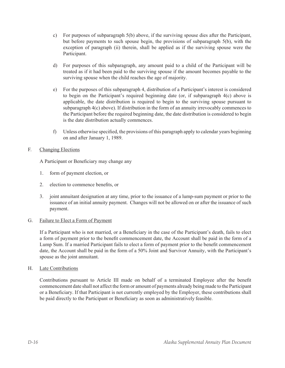- c) For purposes of subparagraph 5(b) above, if the surviving spouse dies after the Participant, but before payments to such spouse begin, the provisions of subparagraph 5(b), with the exception of paragraph (ii) therein, shall be applied as if the surviving spouse were the Participant.
- d) For purposes of this subparagraph, any amount paid to a child of the Participant will be treated as if it had been paid to the surviving spouse if the amount becomes payable to the surviving spouse when the child reaches the age of majority.
- e) For the purposes of this subparagraph 4, distribution of a Participant's interest is considered to begin on the Participant's required beginning date (or, if subparagraph 4(c) above is applicable, the date distribution is required to begin to the surviving spouse pursuant to subparagraph 4(c) above). If distribution in the form of an annuity irrevocably commences to the Participant before the required beginning date, the date distribution is considered to begin is the date distribution actually commences.
- f) Unless otherwise specified, the provisions of this paragraph apply to calendar years beginning on and after January 1, 1989.

#### F. Changing Elections

A Participant or Beneficiary may change any

- 1. form of payment election, or
- 2. election to commence benefits, or
- 3. joint annuitant designation at any time, prior to the issuance of a lump-sum payment or prior to the issuance of an initial annuity payment. Changes will not be allowed on or after the issuance of such payment.

#### G. Failure to Elect a Form of Payment

If a Participant who is not married, or a Beneficiary in the case of the Participant's death, fails to elect a form of payment prior to the benefit commencement date, the Account shall be paid in the form of a Lump Sum. If a married Participant fails to elect a form of payment prior to the benefit commencement date, the Account shall be paid in the form of a 50% Joint and Survivor Annuity, with the Participant's spouse as the joint annuitant.

#### H. Late Contributions

Contributions pursuant to Article III made on behalf of a terminated Employee after the benefit commencement date shall not affect the form or amount of payments already being made to the Participant or a Beneficiary. If that Participant is not currently employed by the Employer, these contributions shall be paid directly to the Participant or Beneficiary as soon as administratively feasible.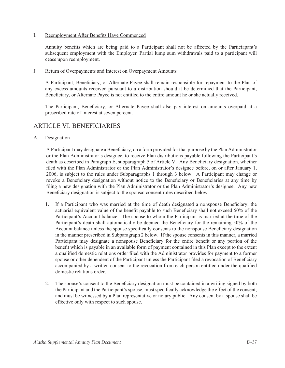#### I. Reemployment After Benefits Have Commenced

Annuity benefits which are being paid to a Participant shall not be affected by the Particiapant's subsequent employment with the Employer. Partial lump sum withdrawals paid to a participant will cease upon reemployment.

#### J. Return of Overpayments and Interest on Overpayment Amounts

A Participant, Beneficiary, or Alternate Payee shall remain responsible for repayment to the Plan of any excess amounts received pursuant to a distribution should it be determined that the Participant, Beneficiary, or Alternate Payee is not entitled to the entire amount he or she actually received.

The Participant, Beneficiary, or Alternate Payee shall also pay interest on amounts overpaid at a prescribed rate of interest at seven percent.

### ARTICLE VI. BENEFICIARIES

#### A. Designation

A Participant may designate a Beneficiary, on a form provided for that purpose by the Plan Administrator or the Plan Administrator's designee, to receive Plan distributions payable following the Participant's death as described in Paragraph E, subparagraph 5 of Article V. Any Beneficiary designation, whether filed with the Plan Administrator or the Plan Administrator's designee before, on or after January 1, 2006, is subject to the rules under Subparagraphs 1 through 3 below. A Participant may change or revoke a Beneficiary designation without notice to the Beneficiary or Beneficiaries at any time by filing a new designation with the Plan Administrator or the Plan Administrator's designee. Any new Beneficiary designation is subject to the spousal consent rules described below.

- 1. If a Participant who was married at the time of death designated a nonspouse Beneficiary, the actuarial equivalent value of the benefit payable to such Beneficiary shall not exceed 50% of the Participant's Account balance. The spouse to whom the Participant is married at the time of the Participant's death shall automatically be deemed the Beneficiary for the remaining 50% of the Account balance unless the spouse specifically consents to the nonspouse Beneficiary designation in the manner prescribed in Subparagraph 2 below. If the spouse consents in this manner, a married Participant may designate a nonspouse Beneficiary for the entire benefit or any portion of the benefit which is payable in an available form of payment contained in this Plan except to the extent a qualified domestic relations order filed with the Administrator provides for payment to a former spouse or other dependent of the Participant unless the Participant filed a revocation of Beneficiary accompanied by a written consent to the revocation from each person entitled under the qualified domestic relations order.
- 2. The spouse's consent to the Beneficiary designation must be contained in a writing signed by both the Participant and the Participant's spouse, must specifically acknowledge the effect of the consent, and must be witnessed by a Plan representative or notary public. Any consent by a spouse shall be effective only with respect to such spouse.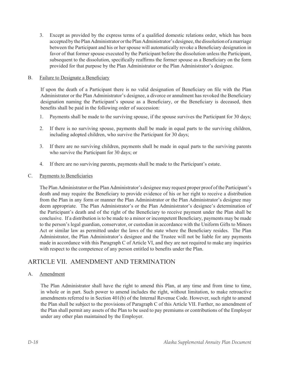3. Except as provided by the express terms of a qualified domestic relations order, which has been accepted by the Plan Administrator or the Plan Administrator's designee, the dissolution of a marriage between the Participant and his or her spouse will automatically revoke a Beneficiary designation in favor of that former spouse executed by the Participant before the dissolution unless the Participant, subsequent to the dissolution, specifically reaffirms the former spouse as a Beneficiary on the form provided for that purpose by the Plan Administrator or the Plan Administrator's designee.

#### B. Failure to Designate a Beneficiary

If upon the death of a Participant there is no valid designation of Beneficiary on file with the Plan Administrator or the Plan Administrator's designee, a divorce or annulment has revoked the Beneficiary designation naming the Participant's spouse as a Beneficiary, or the Beneficiary is deceased, then benefits shall be paid in the following order of succession:

- 1. Payments shall be made to the surviving spouse, if the spouse survives the Participant for 30 days;
- 2. If there is no surviving spouse, payments shall be made in equal parts to the surviving children, including adopted children, who survive the Participant for 30 days;
- 3. If there are no surviving children, payments shall be made in equal parts to the surviving parents who survive the Participant for 30 days; or
- 4. If there are no surviving parents, payments shall be made to the Participant's estate.

#### C. Payments to Beneficiaries

The Plan Administrator or the Plan Administrator's designee may request proper proof of the Participant's death and may require the Beneficiary to provide evidence of his or her right to receive a distribution from the Plan in any form or manner the Plan Administrator or the Plan Administrator's designee may deem appropriate. The Plan Administrator's or the Plan Administrator's designee's determination of the Participant's death and of the right of the Beneficiary to receive payment under the Plan shall be conclusive. If a distribution is to be made to a minor or incompetent Beneficiary, payments may be made to the person's legal guardian, conservator, or custodian in accordance with the Uniform Gifts to Minors Act or similar law as permitted under the laws of the state where the Beneficiary resides. The Plan Administrator, the Plan Administrator's designee and the Trustee will not be liable for any payments made in accordance with this Paragraph C of Article VI, and they are not required to make any inquiries with respect to the competence of any person entitled to benefits under the Plan.

## ARTICLE VII. AMENDMENT AND TERMINATION

#### A. Amendment

The Plan Administrator shall have the right to amend this Plan, at any time and from time to time, in whole or in part. Such power to amend includes the right, without limitation, to make retroactive amendments referred to in Section 401(b) of the Internal Revenue Code. However, such right to amend the Plan shall be subject to the provisions of Paragraph C of this Article VII. Further, no amendment of the Plan shall permit any assets of the Plan to be used to pay premiums or contributions of the Employer under any other plan maintained by the Employer.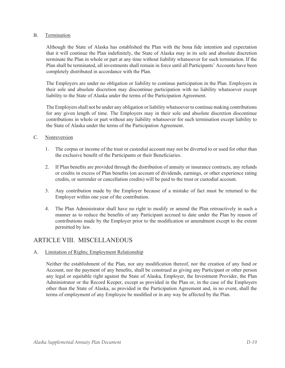#### B. Termination

Although the State of Alaska has established the Plan with the bona fide intention and expectation that it will continue the Plan indefinitely, the State of Alaska may in its sole and absolute discretion terminate the Plan in whole or part at any time without liability whatsoever for such termination. If the Plan shall be terminated, all investments shall remain in force until all Participants' Accounts have been completely distributed in accordance with the Plan.

The Employers are under no obligation or liability to continue participation in the Plan. Employers in their sole and absolute discretion may discontinue participation with no liability whatsoever except liability to the State of Alaska under the terms of the Participation Agreement.

The Employers shall not be under any obligation or liability whatsoever to continue making contributions for any given length of time. The Employers may in their sole and absolute discretion discontinue contributions in whole or part without any liability whatsoever for such termination except liability to the State of Alaska under the terms of the Participation Agreement.

#### C. Nonreversion

- 1. The corpus or income of the trust or custodial account may not be diverted to or used for other than the exclusive benefit of the Participants or their Beneficiaries.
- 2. If Plan benefits are provided through the distribution of annuity or insurance contracts, any refunds or credits in excess of Plan benefits (on account of dividends, earnings, or other experience rating credits, or surrender or cancellation credits) will be paid to the trust or custodial account.
- 3. Any contribution made by the Employer because of a mistake of fact must be returned to the Employer within one year of the contribution.
- 4. The Plan Administrator shall have no right to modify or amend the Plan retroactively in such a manner as to reduce the benefits of any Participant accrued to date under the Plan by reason of contributions made by the Employer prior to the modification or amendment except to the extent permitted by law.

### ARTICLE VIII. MISCELLANEOUS

#### A. Limitation of Rights; Employment Relationship

Neither the establishment of the Plan, nor any modification thereof, nor the creation of any fund or Account, nor the payment of any benefits, shall be construed as giving any Participant or other person any legal or equitable right against the State of Alaska, Employer, the Investment Provider, the Plan Administrator or the Record Keeper, except as provided in the Plan or, in the case of the Employers other than the State of Alaska, as provided in the Participation Agreement and, in no event, shall the terms of employment of any Employee be modified or in any way be affected by the Plan.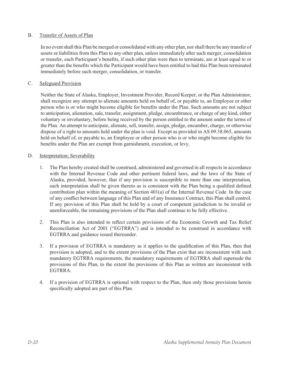#### B. Transfer of Assets of Plan

In no event shall this Plan be merged or consolidated with any other plan, nor shall there be any transfer of assets or liabilities from this Plan to any other plan, unless immediately after such merger, consolidation or transfer, each Participant's benefits, if such other plan were then to terminate, are at least equal to or greater than the benefits which the Participant would have been entitled to had this Plan been terminated immediately before such merger, consolidation, or transfer.

#### C. Safeguard Provision

Neither the State of Alaska, Employer, Investment Provider, Record Keeper, or the Plan Administrator, shall recognize any attempt to alienate amounts held on behalf of, or payable to, an Employee or other person who is or who might become eligible for benefits under the Plan. Such amounts are not subject to anticipation, alienation, sale, transfer, assignment, pledge, encumbrance, or charge of any kind, either voluntary or involuntary, before being received by the person entitled to the amount under the terms of the Plan. An attempt to anticipate, alienate, sell, transfer, assign, pledge, encumber, charge, or otherwise dispose of a right to amounts held under the plan is void. Except as provided in AS 09.38.065, amounts held on behalf of, or payable to, an Employee or other person who is or who might become eligible for benefits under the Plan are exempt from garnishment, execution, or levy.

#### D. Interpretation; Severability

- 1. The Plan hereby created shall be construed, administered and governed in all respects in accordance with the Internal Revenue Code and other pertinent federal laws, and the laws of the State of Alaska, provided, however, that if any provision is susceptible to more than one interpretation, such interpretation shall be given thereto as is consistent with the Plan being a qualified defined contribution plan within the meaning of Section 401(a) of the Internal Revenue Code. In the case of any conflict between language of this Plan and of any Insurance Contract, this Plan shall control. If any provision of this Plan shall be held by a court of competent jurisdiction to be invalid or unenforceable, the remaining provisions of the Plan shall continue to be fully effective.
- 2. This Plan is also intended to reflect certain provisions of the Economic Growth and Tax Relief Reconciliation Act of 2001 ("EGTRRA") and is intended to be construed in accordance with EGTRRA and guidance issued thereunder.
- 3. If a provision of EGTRRA is mandatory as it applies to the qualification of this Plan, then that provision is adopted, and to the extent provisions of the Plan exist that are inconsistent with such mandatory EGTRRA requirements, the mandatory requirements of EGTRRA shall supersede the provisions of this Plan, to the extent the provisions of this Plan as written are inconsistent with EGTRRA.
- 4. If a provision of EGTRRA is optional with respect to the Plan, then only those provisions herein specifically adopted are part of this Plan.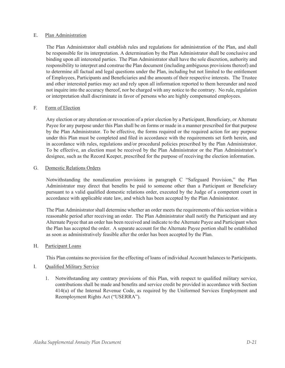#### E. Plan Administration

The Plan Administrator shall establish rules and regulations for administration of the Plan, and shall be responsible for its interpretation. A determination by the Plan Administrator shall be conclusive and binding upon all interested parties. The Plan Administrator shall have the sole discretion, authority and responsibility to interpret and construe the Plan document (including ambiguous provisions thereof) and to determine all factual and legal questions under the Plan, including but not limited to the entitlement of Employees, Participants and Beneficiaries and the amounts of their respective interests. The Trustee and other interested parties may act and rely upon all information reported to them hereunder and need not inquire into the accuracy thereof, nor be charged with any notice to the contrary. No rule, regulation or interpretation shall discriminate in favor of persons who are highly compensated employees.

#### F. Form of Election

Any election or any alteration or revocation of a prior election by a Participant, Beneficiary, or Alternate Payee for any purpose under this Plan shall be on forms or made in a manner prescribed for that purpose by the Plan Administrator. To be effective, the forms required or the required action for any purpose under this Plan must be completed and filed in accordance with the requirements set forth herein, and in accordance with rules, regulations and/or procedural policies prescribed by the Plan Administrator. To be effective, an election must be received by the Plan Administrator or the Plan Administrator's designee, such as the Record Keeper, prescribed for the purpose of receiving the election information.

#### G. Domestic Relations Orders

Notwithstanding the nonalienation provisions in paragraph C "Safeguard Provision," the Plan Administrator may direct that benefits be paid to someone other than a Participant or Beneficiary pursuant to a valid qualified domestic relations order, executed by the Judge of a competent court in accordance with applicable state law, and which has been accepted by the Plan Administrator.

The Plan Administrator shall determine whether an order meets the requirements of this section within a reasonable period after receiving an order. The Plan Administrator shall notify the Participant and any Alternate Payee that an order has been received and indicate to the Alternate Payee and Participant when the Plan has accepted the order. A separate account for the Alternate Payee portion shall be established as soon as administratively feasible after the order has been accepted by the Plan.

#### H. Participant Loans

This Plan contains no provision for the effecting of loans of individual Account balances to Participants.

#### I. Qualified Military Service

1. Notwithstanding any contrary provisions of this Plan, with respect to qualified military service, contributions shall be made and benefits and service credit be provided in accordance with Section 414(u) of the Internal Revenue Code, as required by the Uniformed Services Employment and Reemployment Rights Act ("USERRA").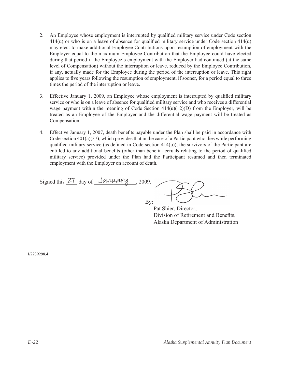- 2. An Employee whose employment is interrupted by qualified military service under Code section 414(u) or who is on a leave of absence for qualified military service under Code section 414(u) may elect to make additional Employee Contributions upon resumption of employment with the Employer equal to the maximum Employee Contribution that the Employee could have elected during that period if the Employee's employment with the Employer had continued (at the same level of Compensation) without the interruption or leave, reduced by the Employee Contribution, if any, actually made for the Employee during the period of the interruption or leave. This right applies to five years following the resumption of employment, if sooner, for a period equal to three times the period of the interruption or leave.
- 3. Effective January 1, 2009, an Employee whose employment is interrupted by qualified military service or who is on a leave of absence for qualified military service and who receives a differential wage payment within the meaning of Code Section  $414(u)(12)(D)$  from the Employer, will be treated as an Employee of the Employer and the differential wage payment will be treated as Compensation.
- 4. Effective January 1, 2007, death benefits payable under the Plan shall be paid in accordance with Code section  $401(a)(37)$ , which provides that in the case of a Participant who dies while performing qualified military service (as defined in Code section  $414(u)$ ), the survivors of the Participant are entitled to any additional benefits (other than benefit accruals relating to the period of qualified military service) provided under the Plan had the Participant resumed and then terminated employment with the Employer on account of death.

| Signed this $27$ day of January |  |            |  |
|---------------------------------|--|------------|--|
|                                 |  |            |  |
|                                 |  |            |  |
|                                 |  | ----<br>__ |  |

Pat Shier, Director, Division of Retirement and Benefits, Alaska Department of Administration

I/2239298.4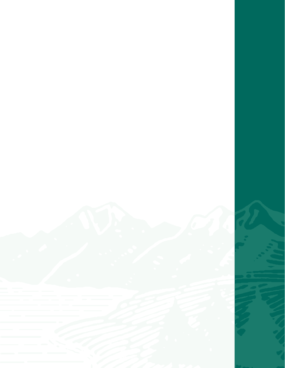